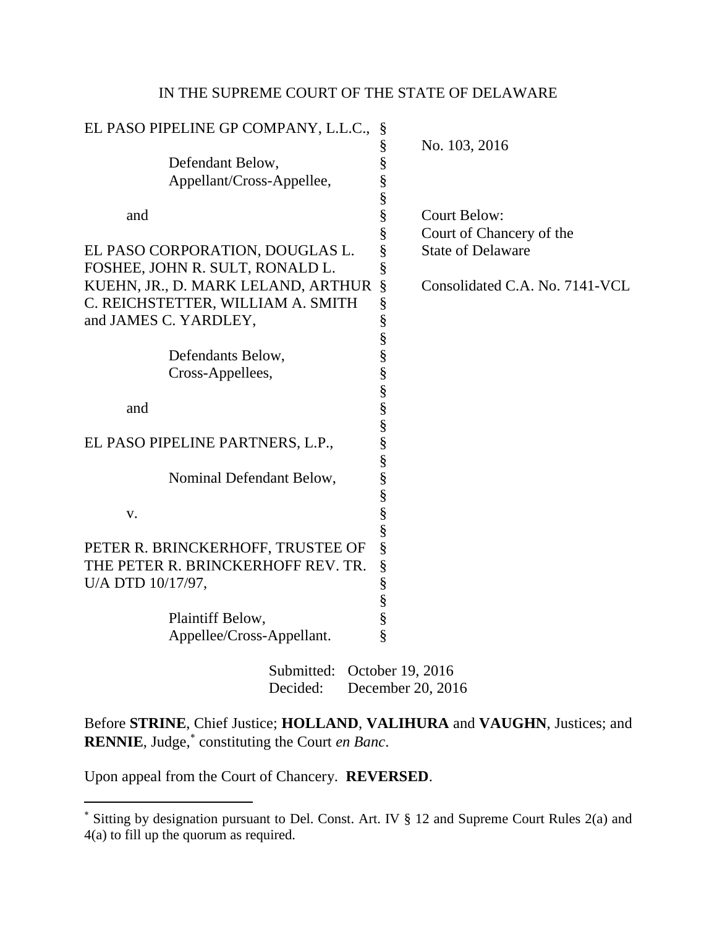## IN THE SUPREME COURT OF THE STATE OF DELAWARE

| EL PASO PIPELINE GP COMPANY, L.L.C., | §                                      |
|--------------------------------------|----------------------------------------|
|                                      | §<br>No. 103, 2016                     |
| Defendant Below,                     | §                                      |
| Appellant/Cross-Appellee,            | §                                      |
|                                      | §                                      |
| and                                  | §<br><b>Court Below:</b>               |
|                                      | §<br>Court of Chancery of the          |
| EL PASO CORPORATION, DOUGLAS L.      | §<br><b>State of Delaware</b>          |
| FOSHEE, JOHN R. SULT, RONALD L.      | §                                      |
| KUEHN, JR., D. MARK LELAND, ARTHUR   | $\S$<br>Consolidated C.A. No. 7141-VCL |
| C. REICHSTETTER, WILLIAM A. SMITH    | $\S$                                   |
| and JAMES C. YARDLEY,                | §                                      |
|                                      | §                                      |
| Defendants Below,                    | §                                      |
| Cross-Appellees,                     | §                                      |
|                                      |                                        |
| and                                  | es es es es es                         |
|                                      |                                        |
| EL PASO PIPELINE PARTNERS, L.P.,     |                                        |
|                                      |                                        |
| Nominal Defendant Below,             |                                        |
|                                      | $\frac{8}{8}$                          |
| V.                                   |                                        |
|                                      | §                                      |
| PETER R. BRINCKERHOFF, TRUSTEE OF    | §                                      |
| THE PETER R. BRINCKERHOFF REV. TR.   | $\S$                                   |
| U/A DTD 10/17/97,                    | §                                      |
|                                      |                                        |
| Plaintiff Below,                     | §<br>§                                 |
| Appellee/Cross-Appellant.            | §                                      |
| Submitted:<br>October 19, 2016       |                                        |
| Decided:<br>December 20, 2016        |                                        |

Before **STRINE**, Chief Justice; **HOLLAND**, **VALIHURA** and **VAUGHN**, Justices; and **RENNIE**, Judge,<sup>\*</sup> constituting the Court *en Banc*.

Upon appeal from the Court of Chancery. **REVERSED**.

Sitting by designation pursuant to Del. Const. Art. IV § 12 and Supreme Court Rules 2(a) and 4(a) to fill up the quorum as required.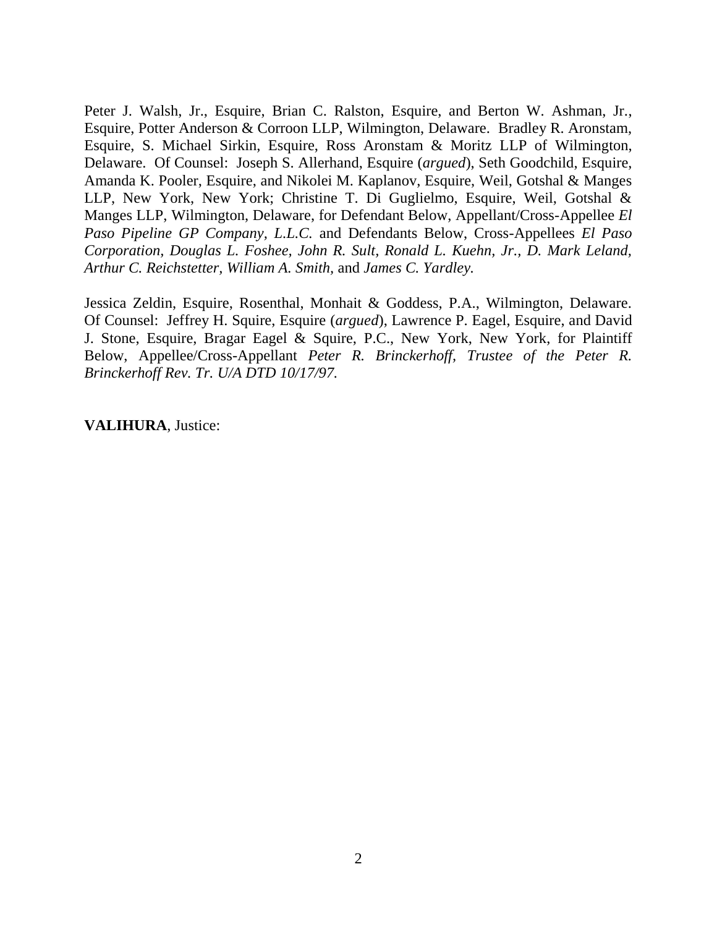Peter J. Walsh, Jr., Esquire, Brian C. Ralston, Esquire, and Berton W. Ashman, Jr., Esquire, Potter Anderson & Corroon LLP, Wilmington, Delaware. Bradley R. Aronstam, Esquire, S. Michael Sirkin, Esquire, Ross Aronstam & Moritz LLP of Wilmington, Delaware. Of Counsel: Joseph S. Allerhand, Esquire (*argued*), Seth Goodchild, Esquire, Amanda K. Pooler, Esquire, and Nikolei M. Kaplanov, Esquire, Weil, Gotshal & Manges LLP, New York, New York; Christine T. Di Guglielmo, Esquire, Weil, Gotshal & Manges LLP, Wilmington, Delaware, for Defendant Below, Appellant/Cross-Appellee *El Paso Pipeline GP Company, L.L.C.* and Defendants Below, Cross-Appellees *El Paso Corporation, Douglas L. Foshee, John R. Sult, Ronald L. Kuehn, Jr., D. Mark Leland, Arthur C. Reichstetter, William A. Smith,* and *James C. Yardley.*

Jessica Zeldin, Esquire, Rosenthal, Monhait & Goddess, P.A., Wilmington, Delaware. Of Counsel: Jeffrey H. Squire, Esquire (*argued*), Lawrence P. Eagel, Esquire, and David J. Stone, Esquire, Bragar Eagel & Squire, P.C., New York, New York, for Plaintiff Below, Appellee/Cross-Appellant *Peter R. Brinckerhoff, Trustee of the Peter R. Brinckerhoff Rev. Tr. U/A DTD 10/17/97.*

**VALIHURA**, Justice: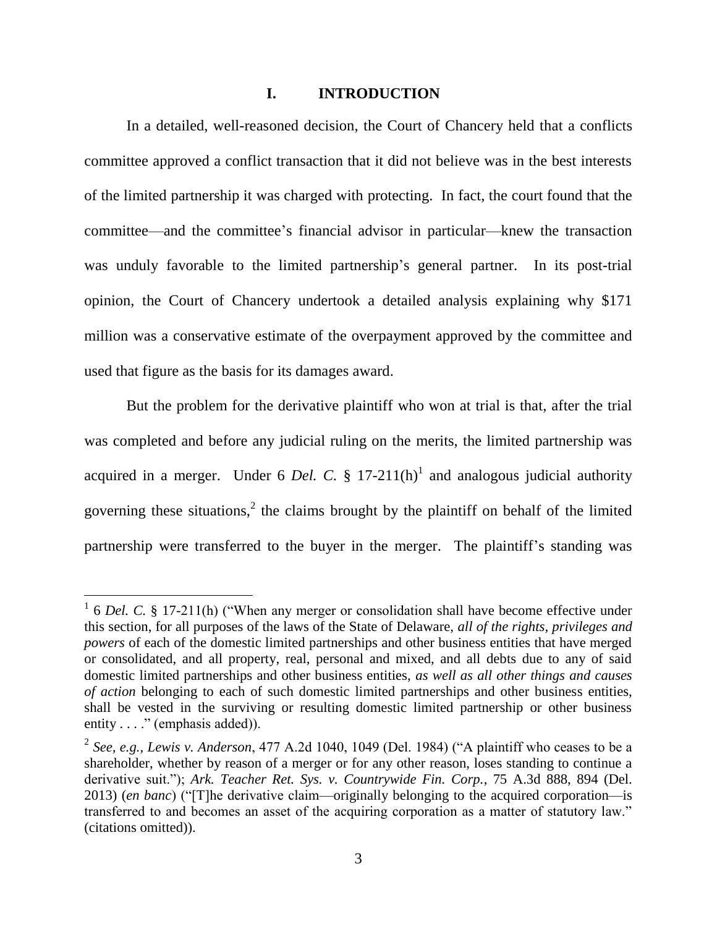### **I. INTRODUCTION**

In a detailed, well-reasoned decision, the Court of Chancery held that a conflicts committee approved a conflict transaction that it did not believe was in the best interests of the limited partnership it was charged with protecting. In fact, the court found that the committee—and the committee"s financial advisor in particular—knew the transaction was unduly favorable to the limited partnership's general partner. In its post-trial opinion, the Court of Chancery undertook a detailed analysis explaining why \$171 million was a conservative estimate of the overpayment approved by the committee and used that figure as the basis for its damages award.

But the problem for the derivative plaintiff who won at trial is that, after the trial was completed and before any judicial ruling on the merits, the limited partnership was acquired in a merger. Under 6 *Del. C.*  $\S$  17-211(h)<sup>1</sup> and analogous judicial authority governing these situations, $\lambda$  the claims brought by the plaintiff on behalf of the limited partnership were transferred to the buyer in the merger. The plaintiff's standing was

<sup>&</sup>lt;sup>1</sup> 6 *Del. C.* § 17-211(h) ("When any merger or consolidation shall have become effective under this section, for all purposes of the laws of the State of Delaware, *all of the rights, privileges and powers* of each of the domestic limited partnerships and other business entities that have merged or consolidated, and all property, real, personal and mixed, and all debts due to any of said domestic limited partnerships and other business entities, *as well as all other things and causes of action* belonging to each of such domestic limited partnerships and other business entities, shall be vested in the surviving or resulting domestic limited partnership or other business entity . . . ." (emphasis added)).

<sup>2</sup> *See, e.g.*, *Lewis v. Anderson*, 477 A.2d 1040, 1049 (Del. 1984) ("A plaintiff who ceases to be a shareholder, whether by reason of a merger or for any other reason, loses standing to continue a derivative suit."); *Ark. Teacher Ret. Sys. v. Countrywide Fin. Corp.*, 75 A.3d 888, 894 (Del. 2013) (*en banc*) ("[T]he derivative claim—originally belonging to the acquired corporation—is transferred to and becomes an asset of the acquiring corporation as a matter of statutory law." (citations omitted)).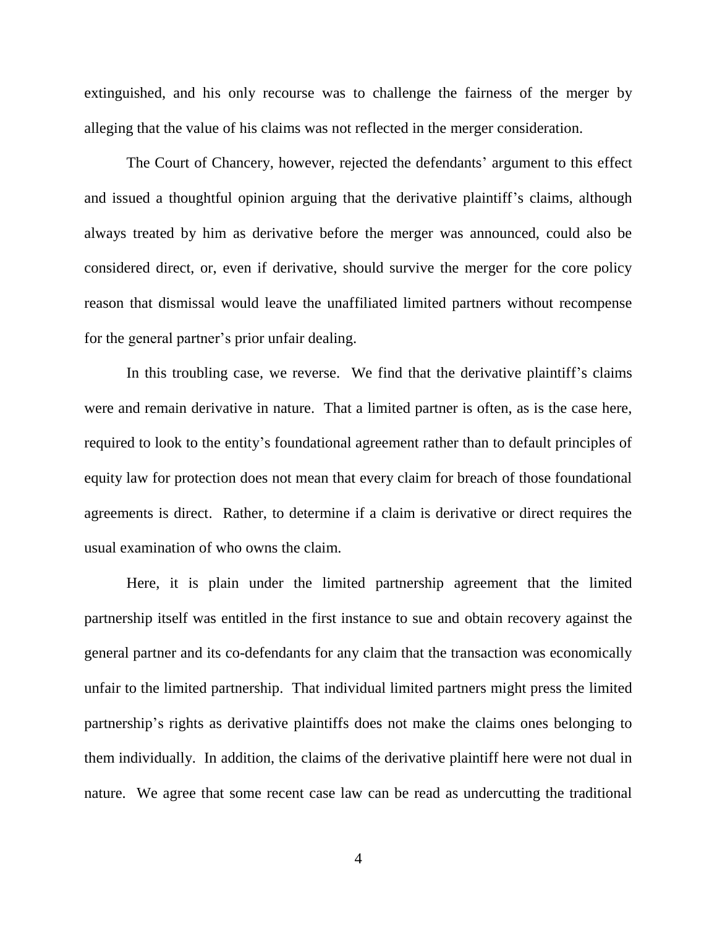extinguished, and his only recourse was to challenge the fairness of the merger by alleging that the value of his claims was not reflected in the merger consideration.

The Court of Chancery, however, rejected the defendants' argument to this effect and issued a thoughtful opinion arguing that the derivative plaintiff's claims, although always treated by him as derivative before the merger was announced, could also be considered direct, or, even if derivative, should survive the merger for the core policy reason that dismissal would leave the unaffiliated limited partners without recompense for the general partner"s prior unfair dealing.

In this troubling case, we reverse. We find that the derivative plaintiff's claims were and remain derivative in nature. That a limited partner is often, as is the case here, required to look to the entity's foundational agreement rather than to default principles of equity law for protection does not mean that every claim for breach of those foundational agreements is direct. Rather, to determine if a claim is derivative or direct requires the usual examination of who owns the claim.

Here, it is plain under the limited partnership agreement that the limited partnership itself was entitled in the first instance to sue and obtain recovery against the general partner and its co-defendants for any claim that the transaction was economically unfair to the limited partnership. That individual limited partners might press the limited partnership"s rights as derivative plaintiffs does not make the claims ones belonging to them individually. In addition, the claims of the derivative plaintiff here were not dual in nature. We agree that some recent case law can be read as undercutting the traditional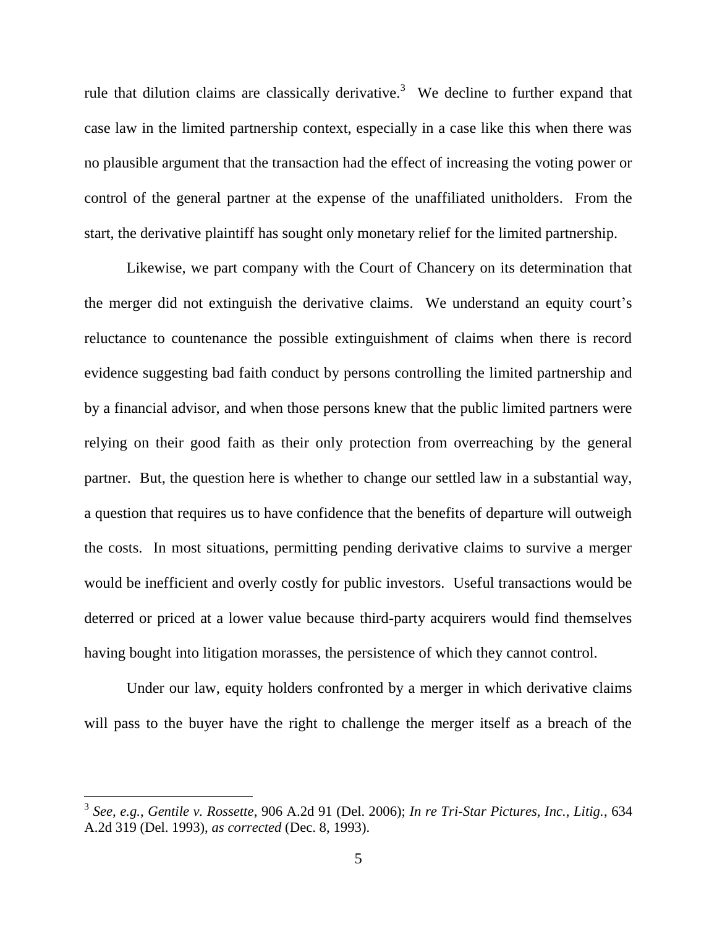rule that dilution claims are classically derivative.<sup>3</sup> We decline to further expand that case law in the limited partnership context, especially in a case like this when there was no plausible argument that the transaction had the effect of increasing the voting power or control of the general partner at the expense of the unaffiliated unitholders. From the start, the derivative plaintiff has sought only monetary relief for the limited partnership.

Likewise, we part company with the Court of Chancery on its determination that the merger did not extinguish the derivative claims. We understand an equity court's reluctance to countenance the possible extinguishment of claims when there is record evidence suggesting bad faith conduct by persons controlling the limited partnership and by a financial advisor, and when those persons knew that the public limited partners were relying on their good faith as their only protection from overreaching by the general partner. But, the question here is whether to change our settled law in a substantial way, a question that requires us to have confidence that the benefits of departure will outweigh the costs. In most situations, permitting pending derivative claims to survive a merger would be inefficient and overly costly for public investors. Useful transactions would be deterred or priced at a lower value because third-party acquirers would find themselves having bought into litigation morasses, the persistence of which they cannot control.

Under our law, equity holders confronted by a merger in which derivative claims will pass to the buyer have the right to challenge the merger itself as a breach of the

<sup>3</sup> *See, e.g.*, *Gentile v. Rossette*, 906 A.2d 91 (Del. 2006); *In re Tri-Star Pictures, Inc., Litig.*, 634 A.2d 319 (Del. 1993), *as corrected* (Dec. 8, 1993).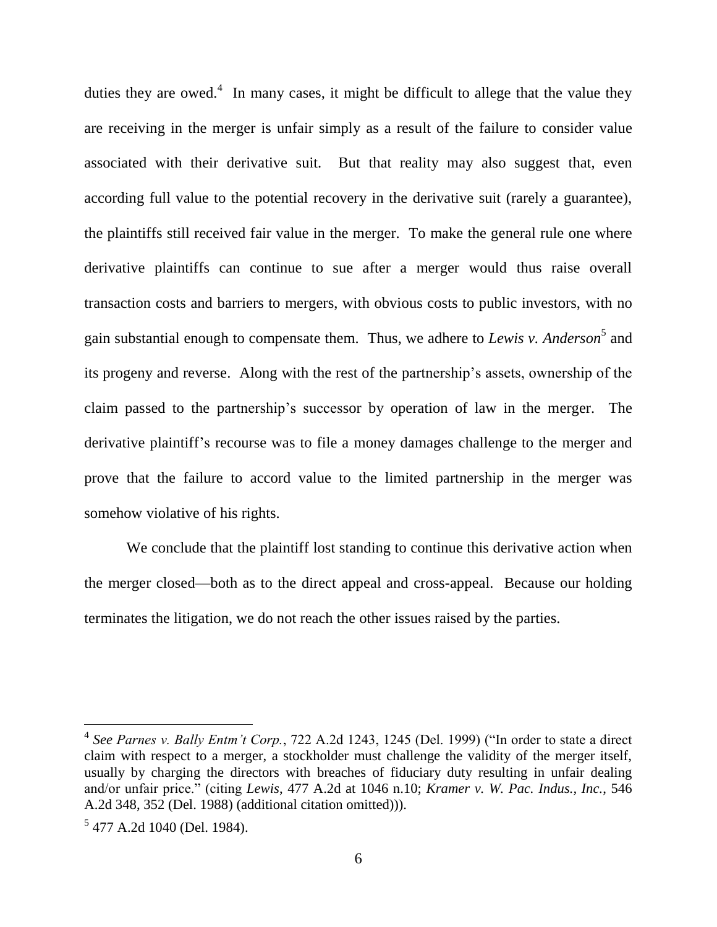duties they are owed.<sup>4</sup> In many cases, it might be difficult to allege that the value they are receiving in the merger is unfair simply as a result of the failure to consider value associated with their derivative suit. But that reality may also suggest that, even according full value to the potential recovery in the derivative suit (rarely a guarantee), the plaintiffs still received fair value in the merger. To make the general rule one where derivative plaintiffs can continue to sue after a merger would thus raise overall transaction costs and barriers to mergers, with obvious costs to public investors, with no gain substantial enough to compensate them. Thus, we adhere to *Lewis v. Anderson*<sup>5</sup> and its progeny and reverse. Along with the rest of the partnership"s assets, ownership of the claim passed to the partnership"s successor by operation of law in the merger. The derivative plaintiff"s recourse was to file a money damages challenge to the merger and prove that the failure to accord value to the limited partnership in the merger was somehow violative of his rights.

We conclude that the plaintiff lost standing to continue this derivative action when the merger closed—both as to the direct appeal and cross-appeal. Because our holding terminates the litigation, we do not reach the other issues raised by the parties.

<sup>4</sup> *See Parnes v. Bally Entm't Corp.*, 722 A.2d 1243, 1245 (Del. 1999) ("In order to state a direct claim with respect to a merger, a stockholder must challenge the validity of the merger itself, usually by charging the directors with breaches of fiduciary duty resulting in unfair dealing and/or unfair price." (citing *Lewis*, 477 A.2d at 1046 n.10; *Kramer v. W. Pac. Indus., Inc.*, 546 A.2d 348, 352 (Del. 1988) (additional citation omitted))).

<sup>&</sup>lt;sup>5</sup> 477 A.2d 1040 (Del. 1984).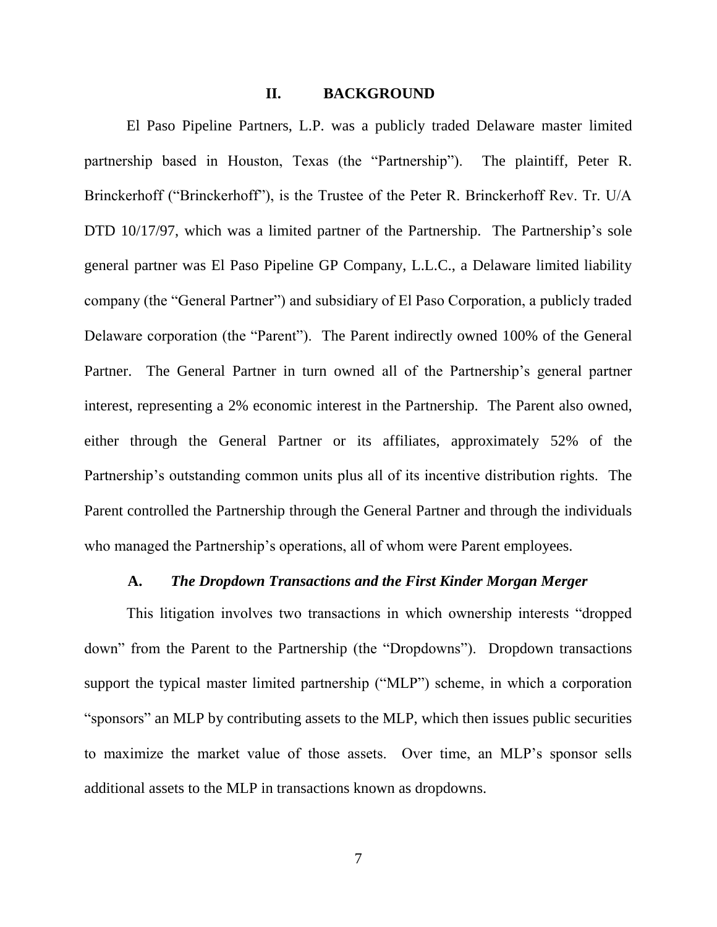### **II. BACKGROUND**

El Paso Pipeline Partners, L.P. was a publicly traded Delaware master limited partnership based in Houston, Texas (the "Partnership"). The plaintiff, Peter R. Brinckerhoff ("Brinckerhoff"), is the Trustee of the Peter R. Brinckerhoff Rev. Tr. U/A DTD 10/17/97, which was a limited partner of the Partnership. The Partnership's sole general partner was El Paso Pipeline GP Company, L.L.C., a Delaware limited liability company (the "General Partner") and subsidiary of El Paso Corporation, a publicly traded Delaware corporation (the "Parent"). The Parent indirectly owned 100% of the General Partner. The General Partner in turn owned all of the Partnership's general partner interest, representing a 2% economic interest in the Partnership. The Parent also owned, either through the General Partner or its affiliates, approximately 52% of the Partnership's outstanding common units plus all of its incentive distribution rights. The Parent controlled the Partnership through the General Partner and through the individuals who managed the Partnership's operations, all of whom were Parent employees.

### **A.** *The Dropdown Transactions and the First Kinder Morgan Merger*

This litigation involves two transactions in which ownership interests "dropped down" from the Parent to the Partnership (the "Dropdowns"). Dropdown transactions support the typical master limited partnership ("MLP") scheme, in which a corporation "sponsors" an MLP by contributing assets to the MLP, which then issues public securities to maximize the market value of those assets. Over time, an MLP"s sponsor sells additional assets to the MLP in transactions known as dropdowns.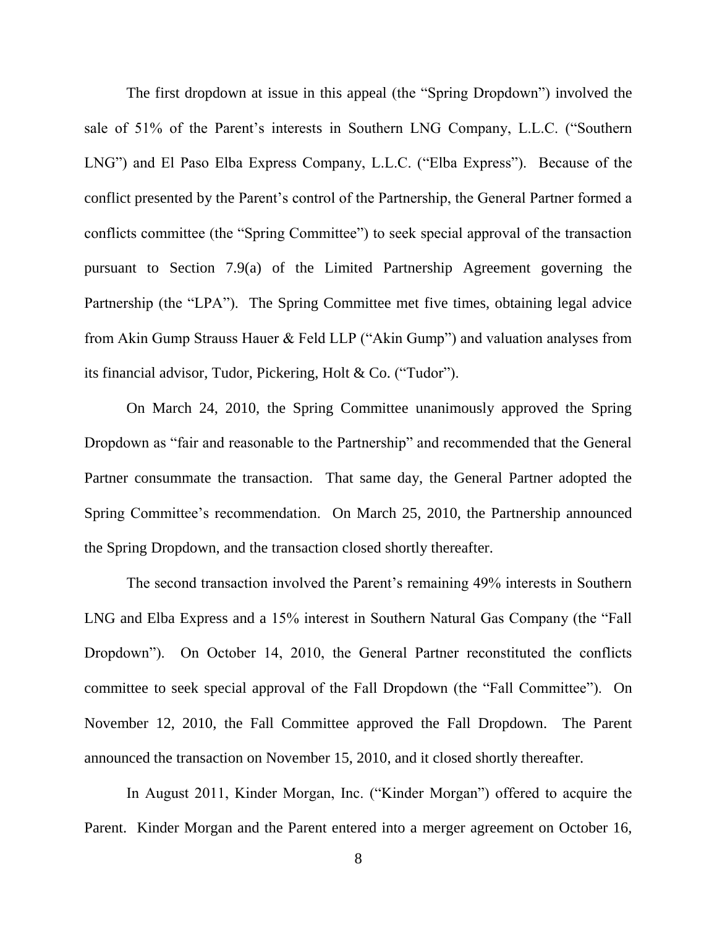The first dropdown at issue in this appeal (the "Spring Dropdown") involved the sale of 51% of the Parent's interests in Southern LNG Company, L.L.C. ("Southern LNG") and El Paso Elba Express Company, L.L.C. ("Elba Express"). Because of the conflict presented by the Parent"s control of the Partnership, the General Partner formed a conflicts committee (the "Spring Committee") to seek special approval of the transaction pursuant to Section 7.9(a) of the Limited Partnership Agreement governing the Partnership (the "LPA"). The Spring Committee met five times, obtaining legal advice from Akin Gump Strauss Hauer & Feld LLP ("Akin Gump") and valuation analyses from its financial advisor, Tudor, Pickering, Holt & Co. ("Tudor").

On March 24, 2010, the Spring Committee unanimously approved the Spring Dropdown as "fair and reasonable to the Partnership" and recommended that the General Partner consummate the transaction. That same day, the General Partner adopted the Spring Committee's recommendation. On March 25, 2010, the Partnership announced the Spring Dropdown, and the transaction closed shortly thereafter.

The second transaction involved the Parent"s remaining 49% interests in Southern LNG and Elba Express and a 15% interest in Southern Natural Gas Company (the "Fall Dropdown"). On October 14, 2010, the General Partner reconstituted the conflicts committee to seek special approval of the Fall Dropdown (the "Fall Committee"). On November 12, 2010, the Fall Committee approved the Fall Dropdown. The Parent announced the transaction on November 15, 2010, and it closed shortly thereafter.

In August 2011, Kinder Morgan, Inc. ("Kinder Morgan") offered to acquire the Parent. Kinder Morgan and the Parent entered into a merger agreement on October 16,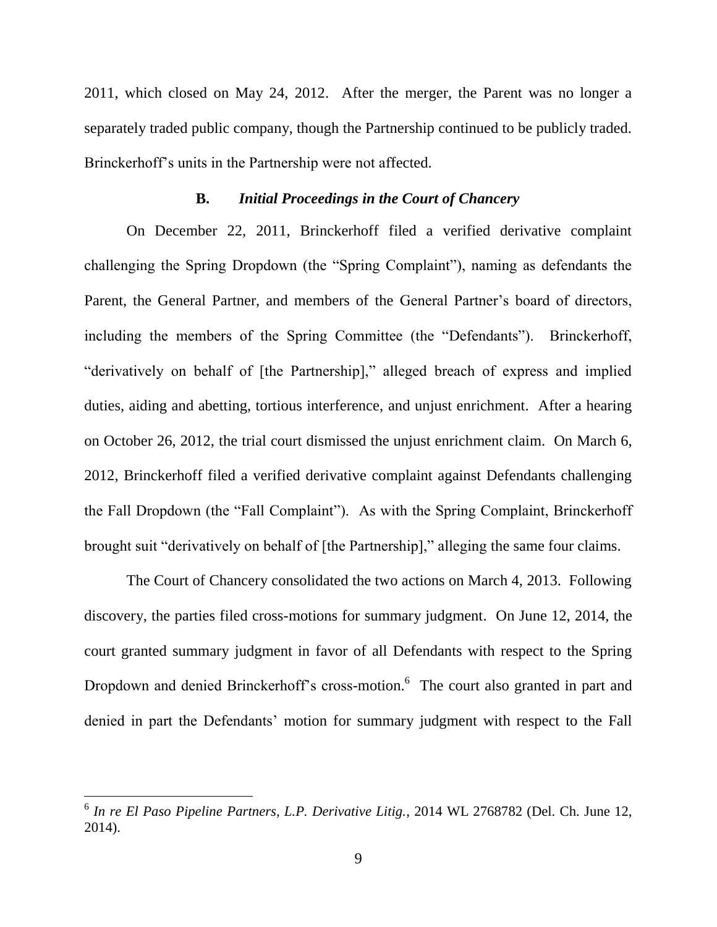2011, which closed on May 24, 2012. After the merger, the Parent was no longer a separately traded public company, though the Partnership continued to be publicly traded. Brinckerhoff"s units in the Partnership were not affected.

### **B.** *Initial Proceedings in the Court of Chancery*

On December 22, 2011, Brinckerhoff filed a verified derivative complaint challenging the Spring Dropdown (the "Spring Complaint"), naming as defendants the Parent, the General Partner, and members of the General Partner's board of directors, including the members of the Spring Committee (the "Defendants"). Brinckerhoff, "derivatively on behalf of [the Partnership]," alleged breach of express and implied duties, aiding and abetting, tortious interference, and unjust enrichment. After a hearing on October 26, 2012, the trial court dismissed the unjust enrichment claim. On March 6, 2012, Brinckerhoff filed a verified derivative complaint against Defendants challenging the Fall Dropdown (the "Fall Complaint"). As with the Spring Complaint, Brinckerhoff brought suit "derivatively on behalf of [the Partnership]," alleging the same four claims.

The Court of Chancery consolidated the two actions on March 4, 2013. Following discovery, the parties filed cross-motions for summary judgment. On June 12, 2014, the court granted summary judgment in favor of all Defendants with respect to the Spring Dropdown and denied Brinckerhoff's cross-motion.<sup>6</sup> The court also granted in part and denied in part the Defendants' motion for summary judgment with respect to the Fall

 6 *In re El Paso Pipeline Partners, L.P. Derivative Litig.*, 2014 WL 2768782 (Del. Ch. June 12, 2014).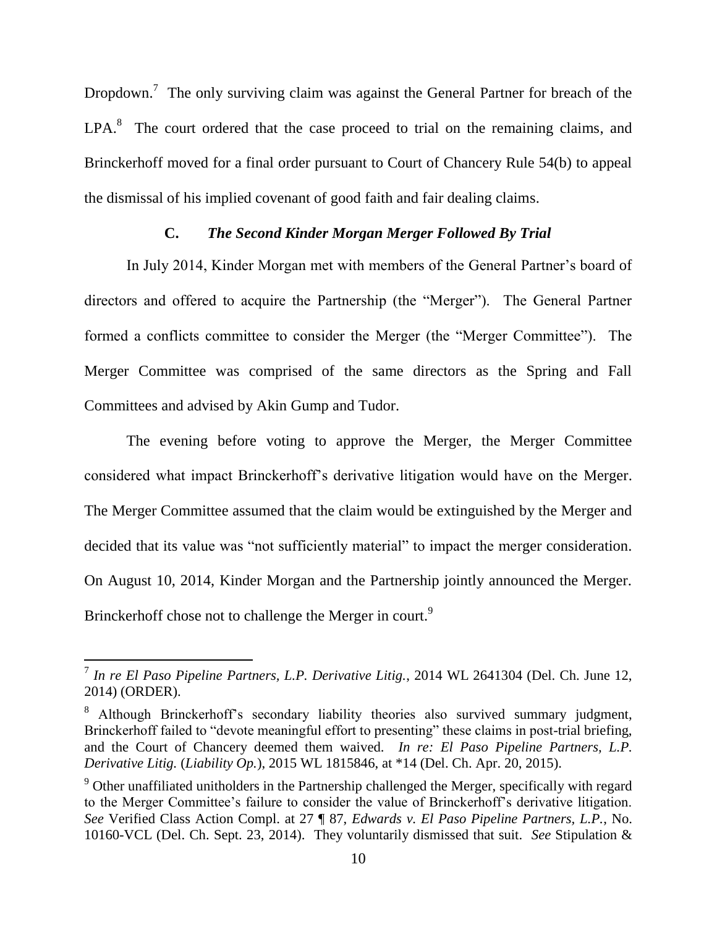Dropdown.<sup>7</sup> The only surviving claim was against the General Partner for breach of the  $LPA.<sup>8</sup>$  The court ordered that the case proceed to trial on the remaining claims, and Brinckerhoff moved for a final order pursuant to Court of Chancery Rule 54(b) to appeal the dismissal of his implied covenant of good faith and fair dealing claims.

## **C.** *The Second Kinder Morgan Merger Followed By Trial*

In July 2014, Kinder Morgan met with members of the General Partner"s board of directors and offered to acquire the Partnership (the "Merger"). The General Partner formed a conflicts committee to consider the Merger (the "Merger Committee"). The Merger Committee was comprised of the same directors as the Spring and Fall Committees and advised by Akin Gump and Tudor.

The evening before voting to approve the Merger, the Merger Committee considered what impact Brinckerhoff"s derivative litigation would have on the Merger. The Merger Committee assumed that the claim would be extinguished by the Merger and decided that its value was "not sufficiently material" to impact the merger consideration. On August 10, 2014, Kinder Morgan and the Partnership jointly announced the Merger. Brinckerhoff chose not to challenge the Merger in court.<sup>9</sup>

 7 *In re El Paso Pipeline Partners, L.P. Derivative Litig.*, 2014 WL 2641304 (Del. Ch. June 12, 2014) (ORDER).

<sup>&</sup>lt;sup>8</sup> Although Brinckerhoff's secondary liability theories also survived summary judgment, Brinckerhoff failed to "devote meaningful effort to presenting" these claims in post-trial briefing, and the Court of Chancery deemed them waived. *In re: El Paso Pipeline Partners, L.P. Derivative Litig.* (*Liability Op.*), 2015 WL 1815846, at \*14 (Del. Ch. Apr. 20, 2015).

 $9$  Other unaffiliated unitholders in the Partnership challenged the Merger, specifically with regard to the Merger Committee"s failure to consider the value of Brinckerhoff"s derivative litigation. *See* Verified Class Action Compl. at 27 ¶ 87, *Edwards v. El Paso Pipeline Partners, L.P.*, No. 10160-VCL (Del. Ch. Sept. 23, 2014). They voluntarily dismissed that suit. *See* Stipulation &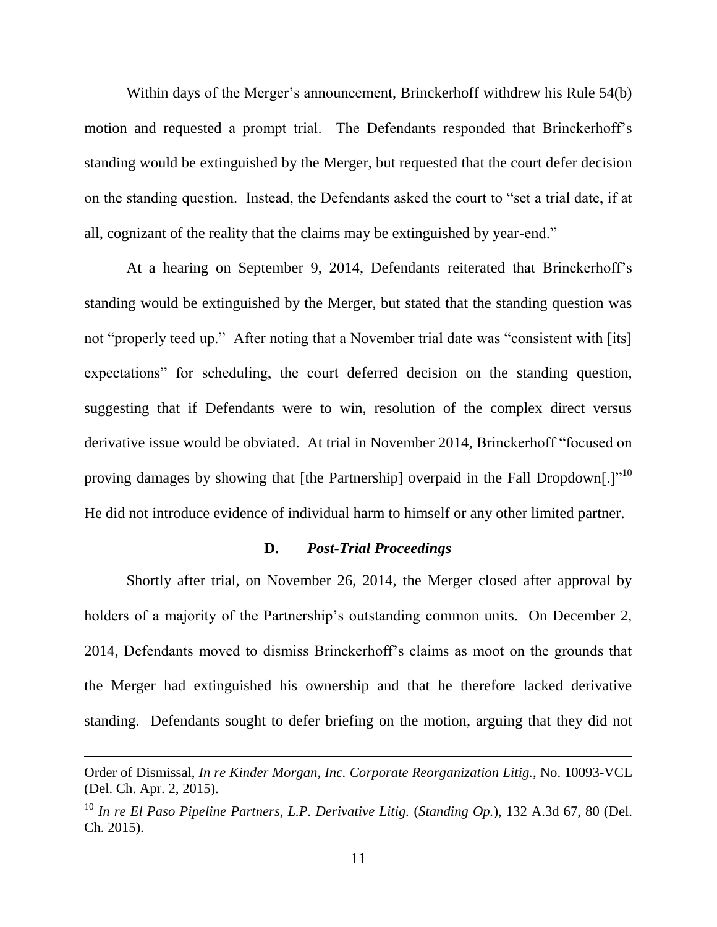Within days of the Merger's announcement, Brinckerhoff withdrew his Rule 54(b) motion and requested a prompt trial. The Defendants responded that Brinckerhoff"s standing would be extinguished by the Merger, but requested that the court defer decision on the standing question. Instead, the Defendants asked the court to "set a trial date, if at all, cognizant of the reality that the claims may be extinguished by year-end."

At a hearing on September 9, 2014, Defendants reiterated that Brinckerhoff"s standing would be extinguished by the Merger, but stated that the standing question was not "properly teed up." After noting that a November trial date was "consistent with [its] expectations" for scheduling, the court deferred decision on the standing question, suggesting that if Defendants were to win, resolution of the complex direct versus derivative issue would be obviated. At trial in November 2014, Brinckerhoff "focused on proving damages by showing that [the Partnership] overpaid in the Fall Dropdown[.] $^{\prime\prime}$ <sup>10</sup> He did not introduce evidence of individual harm to himself or any other limited partner.

### **D.** *Post-Trial Proceedings*

Shortly after trial, on November 26, 2014, the Merger closed after approval by holders of a majority of the Partnership's outstanding common units. On December 2, 2014, Defendants moved to dismiss Brinckerhoff"s claims as moot on the grounds that the Merger had extinguished his ownership and that he therefore lacked derivative standing. Defendants sought to defer briefing on the motion, arguing that they did not

Order of Dismissal, *In re Kinder Morgan, Inc. Corporate Reorganization Litig.*, No. 10093-VCL (Del. Ch. Apr. 2, 2015).

<sup>10</sup> *In re El Paso Pipeline Partners, L.P. Derivative Litig.* (*Standing Op.*), 132 A.3d 67, 80 (Del. Ch. 2015).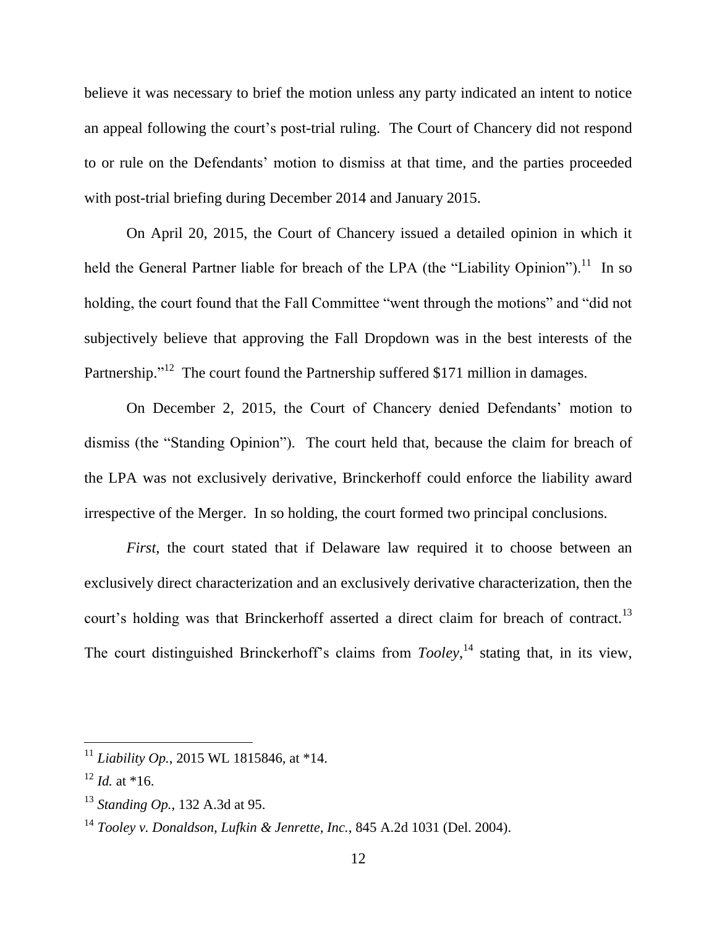believe it was necessary to brief the motion unless any party indicated an intent to notice an appeal following the court"s post-trial ruling. The Court of Chancery did not respond to or rule on the Defendants" motion to dismiss at that time, and the parties proceeded with post-trial briefing during December 2014 and January 2015.

On April 20, 2015, the Court of Chancery issued a detailed opinion in which it held the General Partner liable for breach of the LPA (the "Liability Opinion").<sup>11</sup> In so holding, the court found that the Fall Committee "went through the motions" and "did not subjectively believe that approving the Fall Dropdown was in the best interests of the Partnership."<sup>12</sup> The court found the Partnership suffered \$171 million in damages.

On December 2, 2015, the Court of Chancery denied Defendants' motion to dismiss (the "Standing Opinion"). The court held that, because the claim for breach of the LPA was not exclusively derivative, Brinckerhoff could enforce the liability award irrespective of the Merger. In so holding, the court formed two principal conclusions.

*First*, the court stated that if Delaware law required it to choose between an exclusively direct characterization and an exclusively derivative characterization, then the court's holding was that Brinckerhoff asserted a direct claim for breach of contract.<sup>13</sup> The court distinguished Brinckerhoff's claims from *Tooley*,<sup>14</sup> stating that, in its view,

<sup>11</sup> *Liability Op.*, 2015 WL 1815846, at \*14.

 $12$  *Id.* at \*16.

<sup>13</sup> *Standing Op.*, 132 A.3d at 95.

<sup>14</sup> *Tooley v. Donaldson, Lufkin & Jenrette, Inc.*, 845 A.2d 1031 (Del. 2004).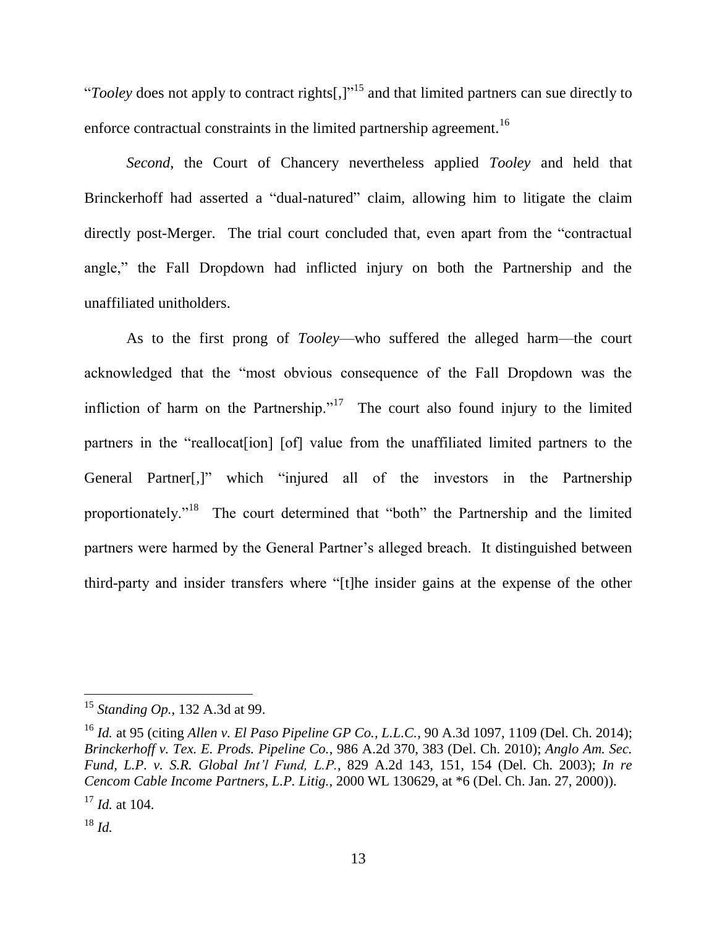"*Tooley* does not apply to contract rights[,]"<sup>15</sup> and that limited partners can sue directly to enforce contractual constraints in the limited partnership agreement.<sup>16</sup>

*Second*, the Court of Chancery nevertheless applied *Tooley* and held that Brinckerhoff had asserted a "dual-natured" claim, allowing him to litigate the claim directly post-Merger. The trial court concluded that, even apart from the "contractual angle," the Fall Dropdown had inflicted injury on both the Partnership and the unaffiliated unitholders.

As to the first prong of *Tooley*—who suffered the alleged harm—the court acknowledged that the "most obvious consequence of the Fall Dropdown was the infliction of harm on the Partnership."<sup>17</sup> The court also found injury to the limited partners in the "reallocat<sup>[jon]</sup> [of] value from the unaffiliated limited partners to the General Partner[,]" which "injured all of the investors in the Partnership proportionately."<sup>18</sup> The court determined that "both" the Partnership and the limited partners were harmed by the General Partner"s alleged breach. It distinguished between third-party and insider transfers where "[t]he insider gains at the expense of the other

<sup>15</sup> *Standing Op.*, 132 A.3d at 99.

<sup>16</sup> *Id.* at 95 (citing *Allen v. El Paso Pipeline GP Co., L.L.C.*, 90 A.3d 1097, 1109 (Del. Ch. 2014); *Brinckerhoff v. Tex. E. Prods. Pipeline Co.*, 986 A.2d 370, 383 (Del. Ch. 2010); *Anglo Am. Sec. Fund, L.P. v. S.R. Global Int'l Fund, L.P.*, 829 A.2d 143, 151, 154 (Del. Ch. 2003); *In re Cencom Cable Income Partners, L.P. Litig.*, 2000 WL 130629, at \*6 (Del. Ch. Jan. 27, 2000)). <sup>17</sup> *Id.* at 104.

<sup>18</sup> *Id.*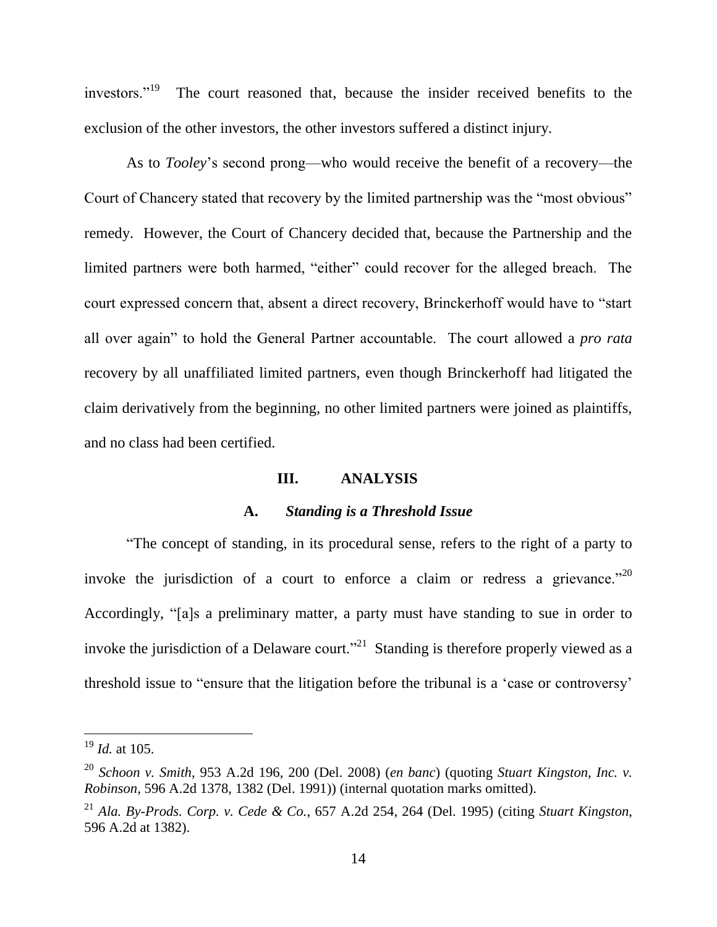investors."<sup>19</sup> The court reasoned that, because the insider received benefits to the exclusion of the other investors, the other investors suffered a distinct injury.

As to *Tooley*"s second prong—who would receive the benefit of a recovery—the Court of Chancery stated that recovery by the limited partnership was the "most obvious" remedy. However, the Court of Chancery decided that, because the Partnership and the limited partners were both harmed, "either" could recover for the alleged breach. The court expressed concern that, absent a direct recovery, Brinckerhoff would have to "start all over again" to hold the General Partner accountable. The court allowed a *pro rata* recovery by all unaffiliated limited partners, even though Brinckerhoff had litigated the claim derivatively from the beginning, no other limited partners were joined as plaintiffs, and no class had been certified.

### **III. ANALYSIS**

### **A.** *Standing is a Threshold Issue*

"The concept of standing, in its procedural sense, refers to the right of a party to invoke the jurisdiction of a court to enforce a claim or redress a grievance."<sup>20</sup> Accordingly, "[a]s a preliminary matter, a party must have standing to sue in order to invoke the jurisdiction of a Delaware court."<sup>21</sup> Standing is therefore properly viewed as a threshold issue to "ensure that the litigation before the tribunal is a "case or controversy"

<sup>19</sup> *Id.* at 105.

<sup>20</sup> *Schoon v. Smith*, 953 A.2d 196, 200 (Del. 2008) (*en banc*) (quoting *Stuart Kingston, Inc. v. Robinson*, 596 A.2d 1378, 1382 (Del. 1991)) (internal quotation marks omitted).

<sup>21</sup> *Ala. By-Prods. Corp. v. Cede & Co.*, 657 A.2d 254, 264 (Del. 1995) (citing *Stuart Kingston*, 596 A.2d at 1382).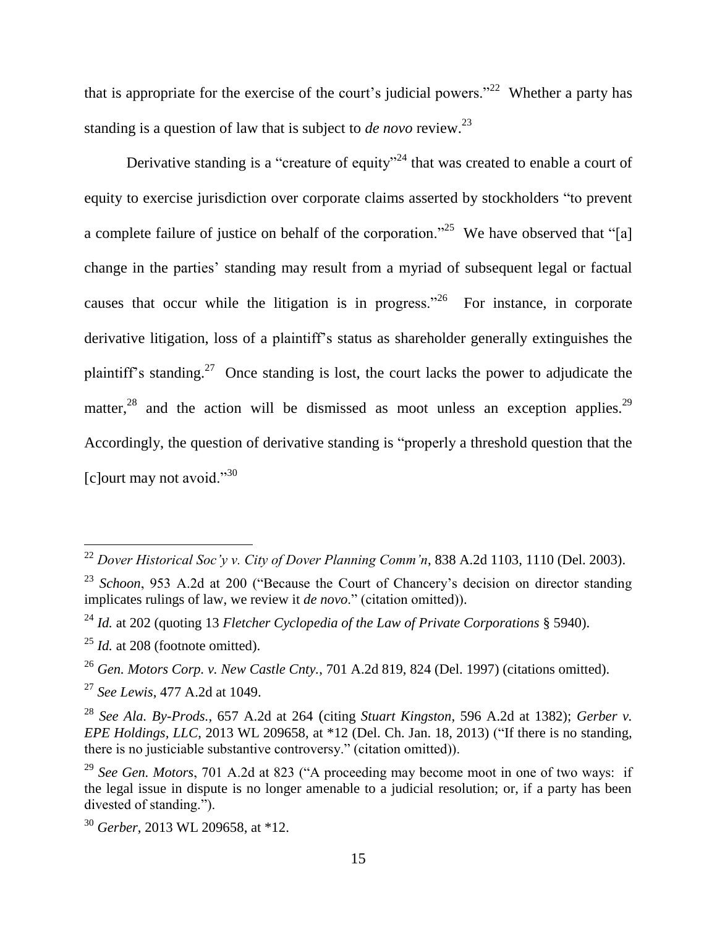that is appropriate for the exercise of the court's judicial powers."<sup>22</sup> Whether a party has standing is a question of law that is subject to *de novo* review.<sup>23</sup>

Derivative standing is a "creature of equity"<sup>24</sup> that was created to enable a court of equity to exercise jurisdiction over corporate claims asserted by stockholders "to prevent a complete failure of justice on behalf of the corporation."<sup>25</sup> We have observed that "[a] change in the parties' standing may result from a myriad of subsequent legal or factual causes that occur while the litigation is in progress.<sup> $26$ </sup> For instance, in corporate derivative litigation, loss of a plaintiff"s status as shareholder generally extinguishes the plaintiff's standing.<sup>27</sup> Once standing is lost, the court lacks the power to adjudicate the matter,<sup>28</sup> and the action will be dismissed as moot unless an exception applies.<sup>29</sup> Accordingly, the question of derivative standing is "properly a threshold question that the  $\lceil$ c $\lceil$ ourt may not avoid."<sup>30</sup>

<sup>22</sup> *Dover Historical Soc'y v. City of Dover Planning Comm'n*, 838 A.2d 1103, 1110 (Del. 2003).

<sup>&</sup>lt;sup>23</sup> *Schoon*, 953 A.2d at 200 ("Because the Court of Chancery's decision on director standing implicates rulings of law, we review it *de novo*." (citation omitted)).

<sup>24</sup> *Id.* at 202 (quoting 13 *Fletcher Cyclopedia of the Law of Private Corporations* § 5940).

<sup>&</sup>lt;sup>25</sup> *Id.* at 208 (footnote omitted).

<sup>26</sup> *Gen. Motors Corp. v. New Castle Cnty.*, 701 A.2d 819, 824 (Del. 1997) (citations omitted).

<sup>27</sup> *See Lewis*, 477 A.2d at 1049.

<sup>28</sup> *See Ala. By-Prods.*, 657 A.2d at 264 (citing *Stuart Kingston*, 596 A.2d at 1382); *Gerber v. EPE Holdings, LLC*, 2013 WL 209658, at \*12 (Del. Ch. Jan. 18, 2013) ("If there is no standing, there is no justiciable substantive controversy." (citation omitted)).

<sup>29</sup> *See Gen. Motors*, 701 A.2d at 823 ("A proceeding may become moot in one of two ways: if the legal issue in dispute is no longer amenable to a judicial resolution; or, if a party has been divested of standing.").

<sup>30</sup> *Gerber*, 2013 WL 209658, at \*12.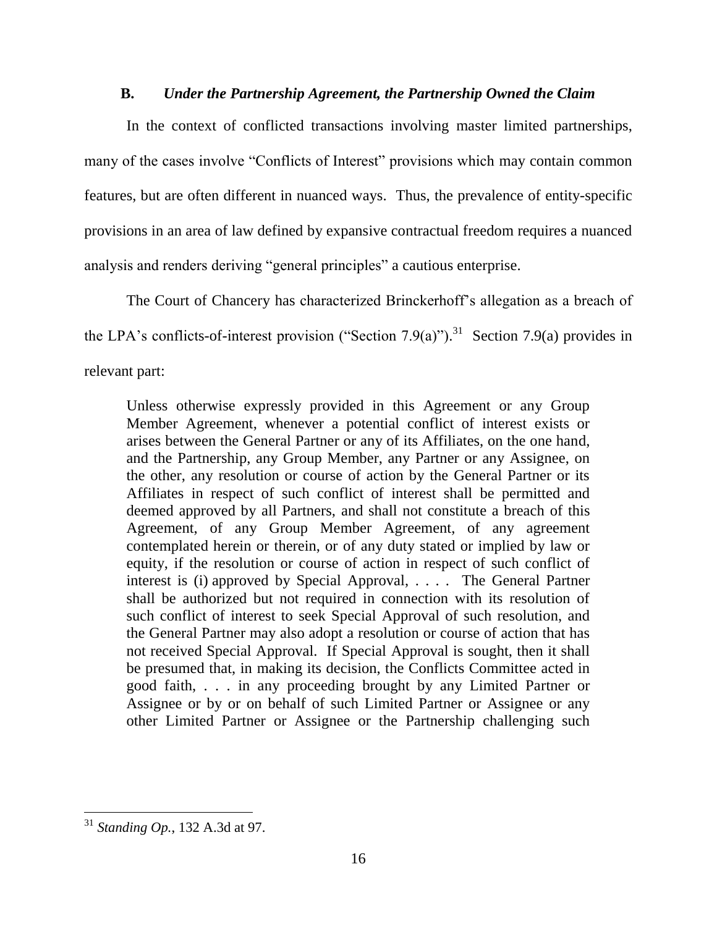### **B.** *Under the Partnership Agreement, the Partnership Owned the Claim*

In the context of conflicted transactions involving master limited partnerships, many of the cases involve "Conflicts of Interest" provisions which may contain common features, but are often different in nuanced ways. Thus, the prevalence of entity-specific provisions in an area of law defined by expansive contractual freedom requires a nuanced analysis and renders deriving "general principles" a cautious enterprise.

The Court of Chancery has characterized Brinckerhoff"s allegation as a breach of the LPA's conflicts-of-interest provision ("Section 7.9(a)").<sup>31</sup> Section 7.9(a) provides in relevant part:

Unless otherwise expressly provided in this Agreement or any Group Member Agreement, whenever a potential conflict of interest exists or arises between the General Partner or any of its Affiliates, on the one hand, and the Partnership, any Group Member, any Partner or any Assignee, on the other, any resolution or course of action by the General Partner or its Affiliates in respect of such conflict of interest shall be permitted and deemed approved by all Partners, and shall not constitute a breach of this Agreement, of any Group Member Agreement, of any agreement contemplated herein or therein, or of any duty stated or implied by law or equity, if the resolution or course of action in respect of such conflict of interest is (i) approved by Special Approval, . . . . The General Partner shall be authorized but not required in connection with its resolution of such conflict of interest to seek Special Approval of such resolution, and the General Partner may also adopt a resolution or course of action that has not received Special Approval. If Special Approval is sought, then it shall be presumed that, in making its decision, the Conflicts Committee acted in good faith, . . . in any proceeding brought by any Limited Partner or Assignee or by or on behalf of such Limited Partner or Assignee or any other Limited Partner or Assignee or the Partnership challenging such

<sup>31</sup> *Standing Op.*, 132 A.3d at 97.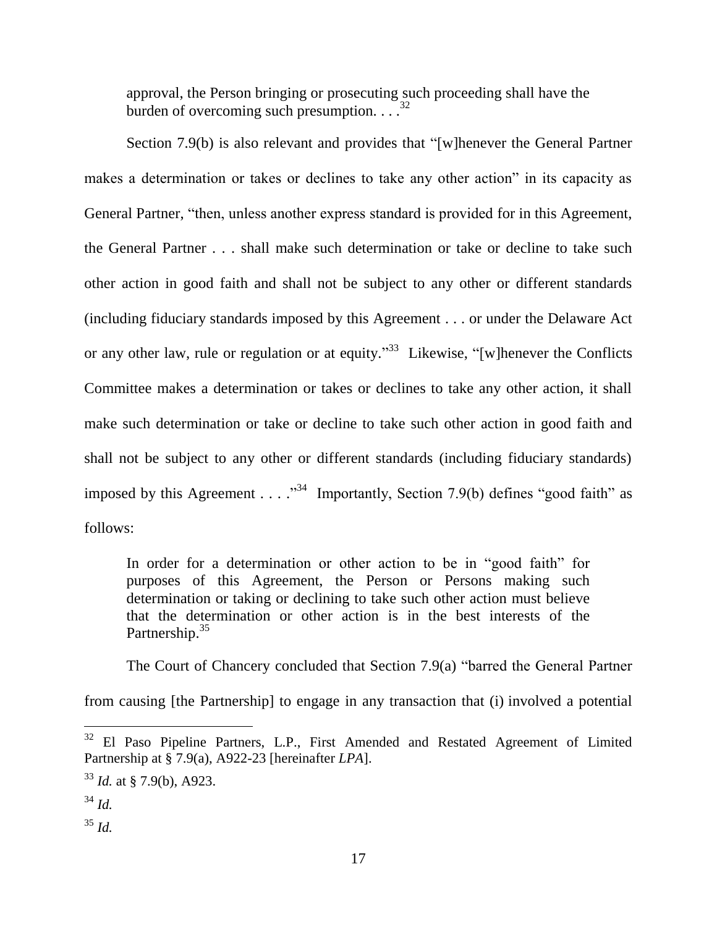<span id="page-16-0"></span>approval, the Person bringing or prosecuting such proceeding shall have the burden of overcoming such presumption.  $\ldots$ <sup>32</sup>

Section 7.9(b) is also relevant and provides that "[w]henever the General Partner makes a determination or takes or declines to take any other action" in its capacity as General Partner, "then, unless another express standard is provided for in this Agreement, the General Partner . . . shall make such determination or take or decline to take such other action in good faith and shall not be subject to any other or different standards (including fiduciary standards imposed by this Agreement . . . or under the Delaware Act or any other law, rule or regulation or at equity.<sup>33</sup> Likewise, "[w]henever the Conflicts Committee makes a determination or takes or declines to take any other action, it shall make such determination or take or decline to take such other action in good faith and shall not be subject to any other or different standards (including fiduciary standards) imposed by this Agreement . . . . "<sup>34</sup> Importantly, Section 7.9(b) defines "good faith" as follows:

In order for a determination or other action to be in "good faith" for purposes of this Agreement, the Person or Persons making such determination or taking or declining to take such other action must believe that the determination or other action is in the best interests of the Partnership.<sup>35</sup>

The Court of Chancery concluded that Section 7.9(a) "barred the General Partner

from causing [the Partnership] to engage in any transaction that (i) involved a potential

<sup>&</sup>lt;sup>32</sup> El Paso Pipeline Partners, L.P., First Amended and Restated Agreement of Limited Partnership at § 7.9(a), A922-23 [hereinafter *LPA*].

<sup>33</sup> *Id.* at § 7.9(b), A923.

<sup>34</sup> *Id.*

<sup>35</sup> *Id.*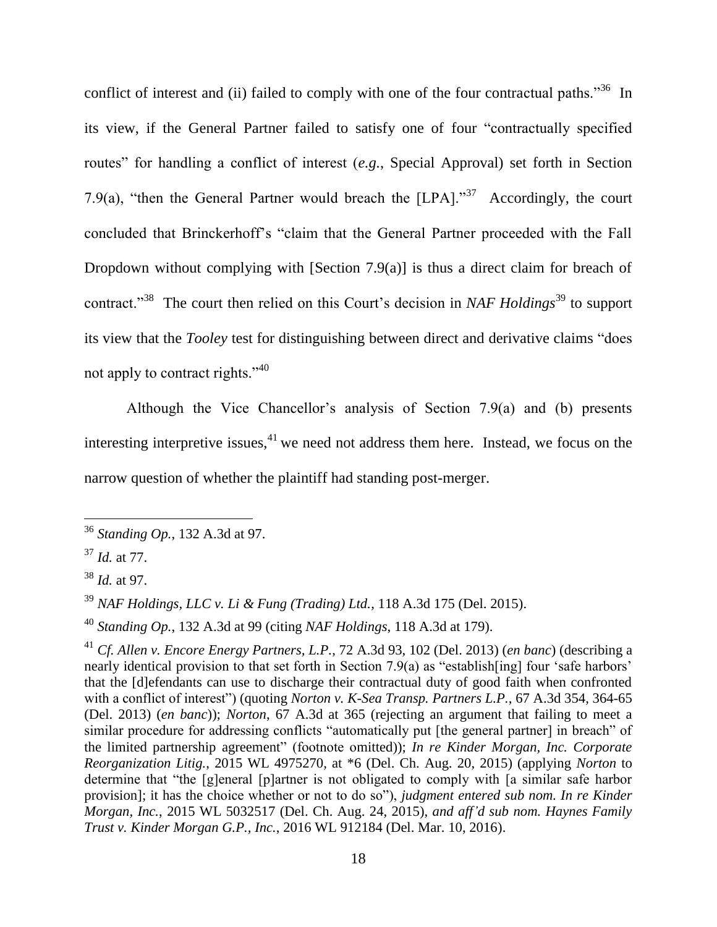conflict of interest and (ii) failed to comply with one of the four contractual paths.<sup>36</sup> In its view, if the General Partner failed to satisfy one of four "contractually specified routes" for handling a conflict of interest (*e.g.*, Special Approval) set forth in Section 7.9(a), "then the General Partner would breach the  $[LPA]$ ."<sup>37</sup> Accordingly, the court concluded that Brinckerhoff"s "claim that the General Partner proceeded with the Fall Dropdown without complying with [Section 7.9(a)] is thus a direct claim for breach of contract.<sup>"38</sup> The court then relied on this Court's decision in *NAF Holdings*<sup>39</sup> to support its view that the *Tooley* test for distinguishing between direct and derivative claims "does not apply to contract rights." $40$ 

Although the Vice Chancellor's analysis of Section  $7.9(a)$  and (b) presents interesting interpretive issues,  $41$  we need not address them here. Instead, we focus on the narrow question of whether the plaintiff had standing post-merger.

<sup>36</sup> *Standing Op.*, 132 A.3d at 97.

<sup>37</sup> *Id.* at 77.

<sup>38</sup> *Id.* at 97.

<sup>39</sup> *NAF Holdings, LLC v. Li & Fung (Trading) Ltd.*, 118 A.3d 175 (Del. 2015).

<sup>40</sup> *Standing Op.*, 132 A.3d at 99 (citing *NAF Holdings*, 118 A.3d at 179).

<sup>41</sup> *Cf. Allen v. Encore Energy Partners, L.P.*, 72 A.3d 93, 102 (Del. 2013) (*en banc*) (describing a nearly identical provision to that set forth in Section 7.9(a) as "establish [ing] four 'safe harbors' that the [d]efendants can use to discharge their contractual duty of good faith when confronted with a conflict of interest") (quoting *Norton v. K-Sea Transp. Partners L.P.*, 67 A.3d 354, 364-65 (Del. 2013) (*en banc*)); *Norton*, 67 A.3d at 365 (rejecting an argument that failing to meet a similar procedure for addressing conflicts "automatically put [the general partner] in breach" of the limited partnership agreement" (footnote omitted)); *In re Kinder Morgan, Inc. Corporate Reorganization Litig.*, 2015 WL 4975270, at \*6 (Del. Ch. Aug. 20, 2015) (applying *Norton* to determine that "the [g]eneral [p]artner is not obligated to comply with [a similar safe harbor provision]; it has the choice whether or not to do so"), *judgment entered sub nom. In re Kinder Morgan, Inc.*, 2015 WL 5032517 (Del. Ch. Aug. 24, 2015), *and aff'd sub nom. Haynes Family Trust v. Kinder Morgan G.P., Inc.*, 2016 WL 912184 (Del. Mar. 10, 2016).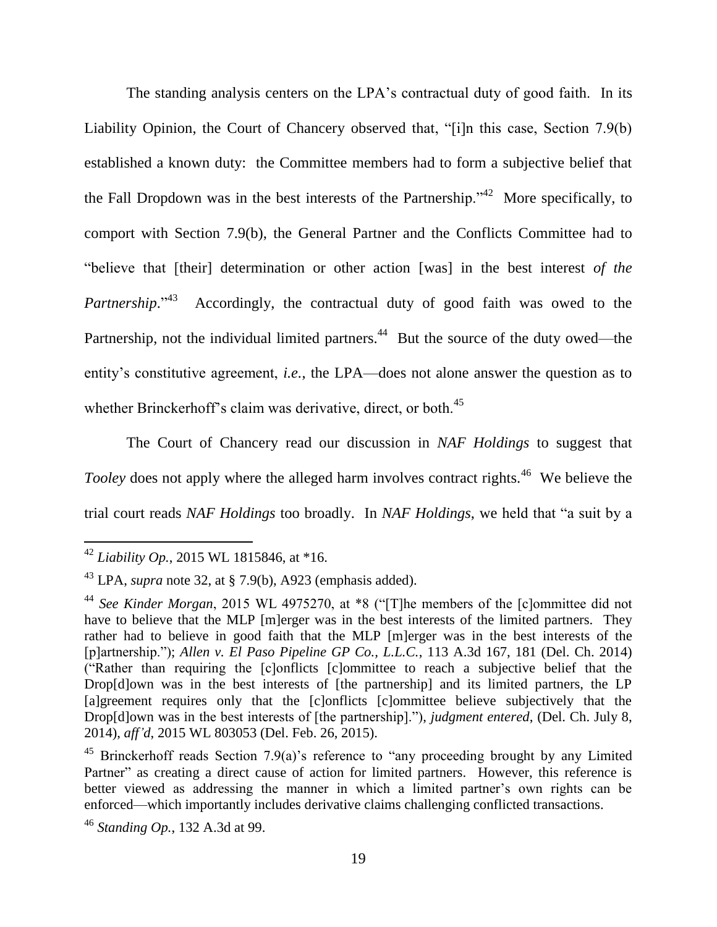The standing analysis centers on the LPA's contractual duty of good faith. In its Liability Opinion, the Court of Chancery observed that, "[i]n this case, Section 7.9(b) established a known duty: the Committee members had to form a subjective belief that the Fall Dropdown was in the best interests of the Partnership."<sup>42</sup> More specifically, to comport with Section 7.9(b), the General Partner and the Conflicts Committee had to "believe that [their] determination or other action [was] in the best interest *of the*  Partnership.<sup>243</sup> Accordingly, the contractual duty of good faith was owed to the Partnership, not the individual limited partners.<sup>44</sup> But the source of the duty owed—the entity"s constitutive agreement, *i.e.*, the LPA—does not alone answer the question as to whether Brinckerhoff's claim was derivative, direct, or both.<sup>45</sup>

The Court of Chancery read our discussion in *NAF Holdings* to suggest that *Tooley* does not apply where the alleged harm involves contract rights.<sup>46</sup> We believe the trial court reads *NAF Holdings* too broadly. In *NAF Holdings*, we held that "a suit by a

<sup>42</sup> *Liability Op.*, 2015 WL 1815846, at \*16.

<sup>43</sup> LPA, *supra* note [32,](#page-16-0) at § 7.9(b), A923 (emphasis added).

<sup>44</sup> *See Kinder Morgan*, 2015 WL 4975270, at \*8 ("[T]he members of the [c]ommittee did not have to believe that the MLP [m]erger was in the best interests of the limited partners. They rather had to believe in good faith that the MLP [m]erger was in the best interests of the [p]artnership."); *Allen v. El Paso Pipeline GP Co., L.L.C.*, 113 A.3d 167, 181 (Del. Ch. 2014) ("Rather than requiring the [c]onflicts [c]ommittee to reach a subjective belief that the Drop[d]own was in the best interests of [the partnership] and its limited partners, the LP [a]greement requires only that the [c]onflicts [c]ommittee believe subjectively that the Drop[d]own was in the best interests of [the partnership]."), *judgment entered*, (Del. Ch. July 8, 2014), *aff'd*, 2015 WL 803053 (Del. Feb. 26, 2015).

<sup>&</sup>lt;sup>45</sup> Brinckerhoff reads Section 7.9(a)'s reference to "any proceeding brought by any Limited Partner" as creating a direct cause of action for limited partners. However, this reference is better viewed as addressing the manner in which a limited partner"s own rights can be enforced—which importantly includes derivative claims challenging conflicted transactions.

<sup>46</sup> *Standing Op.*, 132 A.3d at 99.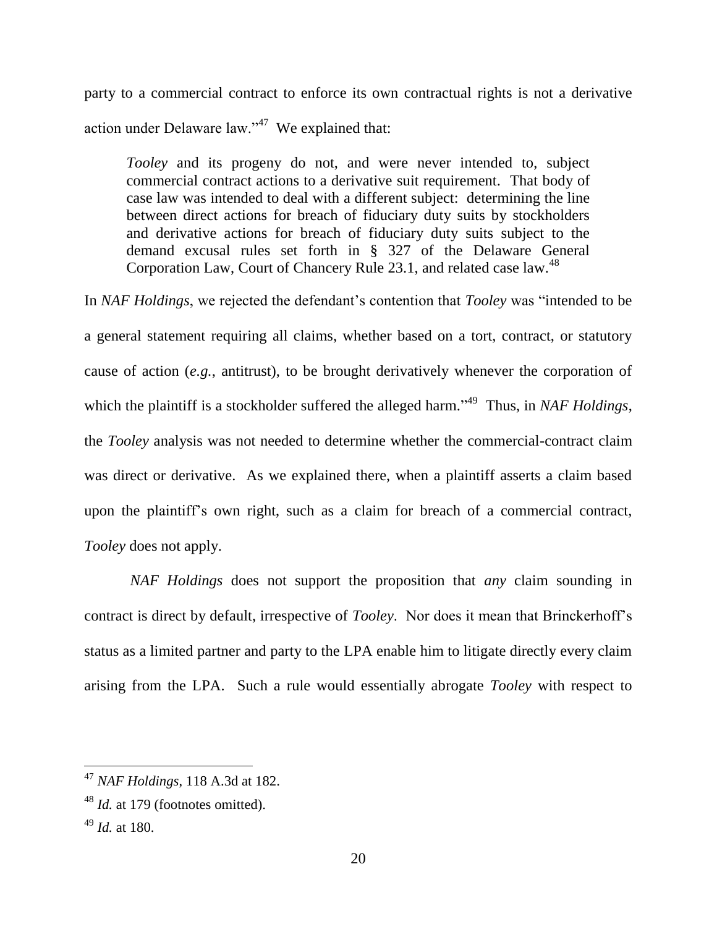party to a commercial contract to enforce its own contractual rights is not a derivative action under Delaware law." $47$  We explained that:

*Tooley* and its progeny do not, and were never intended to, subject commercial contract actions to a derivative suit requirement. That body of case law was intended to deal with a different subject: determining the line between direct actions for breach of fiduciary duty suits by stockholders and derivative actions for breach of fiduciary duty suits subject to the demand excusal rules set forth in § 327 of the Delaware General Corporation Law, Court of Chancery Rule 23.1, and related case law.<sup>48</sup>

In *NAF Holdings*, we rejected the defendant's contention that *Tooley* was "intended to be a general statement requiring all claims, whether based on a tort, contract, or statutory cause of action (*e.g.*, antitrust), to be brought derivatively whenever the corporation of which the plaintiff is a stockholder suffered the alleged harm."<sup>49</sup> Thus, in *NAF Holdings*, the *Tooley* analysis was not needed to determine whether the commercial-contract claim was direct or derivative. As we explained there, when a plaintiff asserts a claim based upon the plaintiff"s own right, such as a claim for breach of a commercial contract, *Tooley* does not apply.

*NAF Holdings* does not support the proposition that *any* claim sounding in contract is direct by default, irrespective of *Tooley*. Nor does it mean that Brinckerhoff"s status as a limited partner and party to the LPA enable him to litigate directly every claim arising from the LPA. Such a rule would essentially abrogate *Tooley* with respect to

<sup>47</sup> *NAF Holdings*, 118 A.3d at 182.

<sup>48</sup> *Id.* at 179 (footnotes omitted).

<sup>49</sup> *Id.* at 180.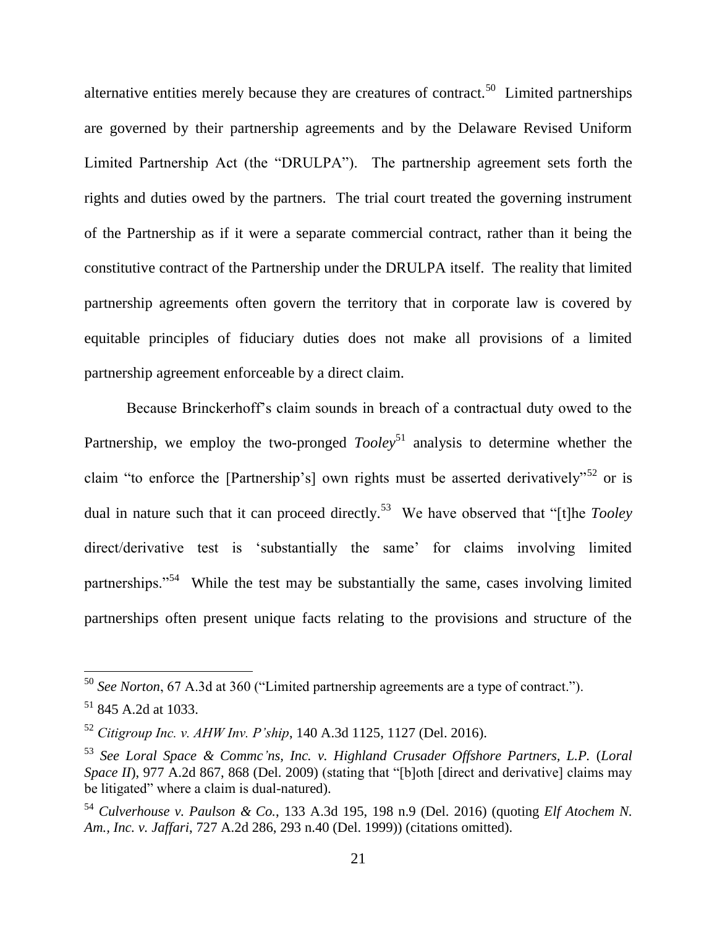alternative entities merely because they are creatures of contract.<sup>50</sup> Limited partnerships are governed by their partnership agreements and by the Delaware Revised Uniform Limited Partnership Act (the "DRULPA"). The partnership agreement sets forth the rights and duties owed by the partners. The trial court treated the governing instrument of the Partnership as if it were a separate commercial contract, rather than it being the constitutive contract of the Partnership under the DRULPA itself. The reality that limited partnership agreements often govern the territory that in corporate law is covered by equitable principles of fiduciary duties does not make all provisions of a limited partnership agreement enforceable by a direct claim.

Because Brinckerhoff"s claim sounds in breach of a contractual duty owed to the Partnership, we employ the two-pronged *Tooley*<sup>51</sup> analysis to determine whether the claim "to enforce the [Partnership's] own rights must be asserted derivatively"<sup>52</sup> or is dual in nature such that it can proceed directly.<sup>53</sup> We have observed that "[t]he *Tooley* direct/derivative test is 'substantially the same' for claims involving limited partnerships."<sup>54</sup> While the test may be substantially the same, cases involving limited partnerships often present unique facts relating to the provisions and structure of the

<sup>50</sup> *See Norton*, 67 A.3d at 360 ("Limited partnership agreements are a type of contract.").

 $51$  845 A.2d at 1033.

<sup>52</sup> *Citigroup Inc. v. AHW Inv. P'ship*, 140 A.3d 1125, 1127 (Del. 2016).

<sup>53</sup> *See Loral Space & Commc'ns, Inc. v. Highland Crusader Offshore Partners, L.P.* (*Loral Space II*), 977 A.2d 867, 868 (Del. 2009) (stating that "[b]oth [direct and derivative] claims may be litigated" where a claim is dual-natured).

<sup>54</sup> *Culverhouse v. Paulson & Co.*, 133 A.3d 195, 198 n.9 (Del. 2016) (quoting *Elf Atochem N. Am., Inc. v. Jaffari*, 727 A.2d 286, 293 n.40 (Del. 1999)) (citations omitted).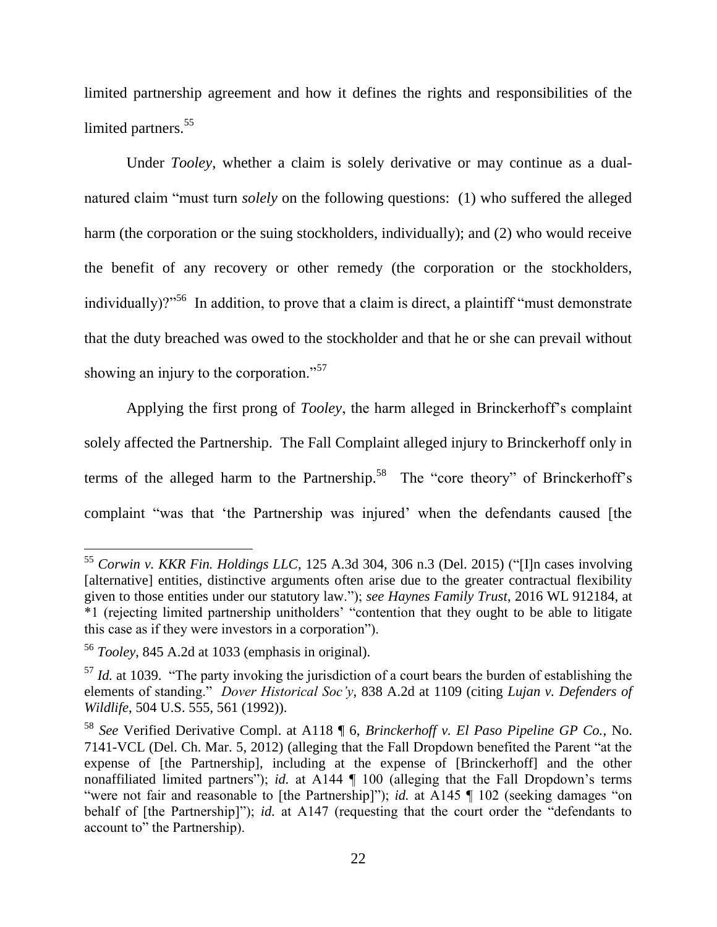limited partnership agreement and how it defines the rights and responsibilities of the limited partners.<sup>55</sup>

Under *Tooley*, whether a claim is solely derivative or may continue as a dualnatured claim "must turn *solely* on the following questions: (1) who suffered the alleged harm (the corporation or the suing stockholders, individually); and (2) who would receive the benefit of any recovery or other remedy (the corporation or the stockholders, individually)?"<sup>56</sup> In addition, to prove that a claim is direct, a plaintiff "must demonstrate" that the duty breached was owed to the stockholder and that he or she can prevail without showing an injury to the corporation."<sup>57</sup>

<span id="page-21-0"></span>Applying the first prong of *Tooley*, the harm alleged in Brinckerhoff"s complaint solely affected the Partnership. The Fall Complaint alleged injury to Brinckerhoff only in terms of the alleged harm to the Partnership.<sup>58</sup> The "core theory" of Brinckerhoff's complaint "was that 'the Partnership was injured' when the defendants caused [the

<sup>55</sup> *Corwin v. KKR Fin. Holdings LLC*, 125 A.3d 304, 306 n.3 (Del. 2015) ("[I]n cases involving [alternative] entities, distinctive arguments often arise due to the greater contractual flexibility given to those entities under our statutory law."); *see Haynes Family Trust*, 2016 WL 912184, at \*1 (rejecting limited partnership unitholders" "contention that they ought to be able to litigate this case as if they were investors in a corporation").

<sup>56</sup> *Tooley*, 845 A.2d at 1033 (emphasis in original).

<sup>&</sup>lt;sup>57</sup> *Id.* at 1039. "The party invoking the jurisdiction of a court bears the burden of establishing the elements of standing." *Dover Historical Soc'y*, 838 A.2d at 1109 (citing *Lujan v. Defenders of Wildlife*, 504 U.S. 555, 561 (1992)).

<sup>58</sup> *See* Verified Derivative Compl. at A118 ¶ 6, *Brinckerhoff v. El Paso Pipeline GP Co.*, No. 7141-VCL (Del. Ch. Mar. 5, 2012) (alleging that the Fall Dropdown benefited the Parent "at the expense of [the Partnership], including at the expense of [Brinckerhoff] and the other nonaffiliated limited partners"); *id.* at A144 | 100 (alleging that the Fall Dropdown's terms "were not fair and reasonable to [the Partnership]"); *id.* at A145 | 102 (seeking damages "on behalf of [the Partnership]"); *id.* at A147 (requesting that the court order the "defendants to account to" the Partnership).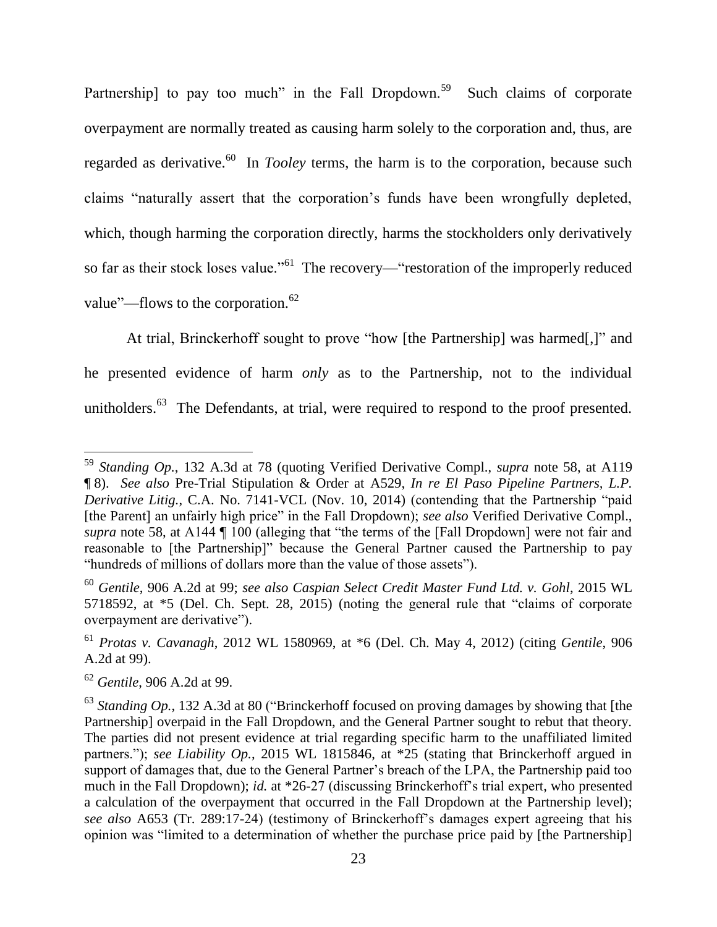Partnership] to pay too much" in the Fall Dropdown.<sup>59</sup> Such claims of corporate overpayment are normally treated as causing harm solely to the corporation and, thus, are regarded as derivative.<sup>60</sup> In *Tooley* terms, the harm is to the corporation, because such claims "naturally assert that the corporation"s funds have been wrongfully depleted, which, though harming the corporation directly, harms the stockholders only derivatively so far as their stock loses value."<sup>61</sup> The recovery—"restoration of the improperly reduced value"—flows to the corporation. $62$ 

At trial, Brinckerhoff sought to prove "how [the Partnership] was harmed[,]" and he presented evidence of harm *only* as to the Partnership, not to the individual unitholders.<sup>63</sup> The Defendants, at trial, were required to respond to the proof presented.

<sup>59</sup> *Standing Op.*, 132 A.3d at 78 (quoting Verified Derivative Compl., *supra* note [58,](#page-21-0) at A119 ¶ 8). *See also* Pre-Trial Stipulation & Order at A529, *In re El Paso Pipeline Partners, L.P. Derivative Litig.*, C.A. No. 7141-VCL (Nov. 10, 2014) (contending that the Partnership "paid [the Parent] an unfairly high price" in the Fall Dropdown); *see also* Verified Derivative Compl., *supra* note [58,](#page-21-0) at A144  $\P$  100 (alleging that "the terms of the [Fall Dropdown] were not fair and reasonable to [the Partnership]" because the General Partner caused the Partnership to pay "hundreds of millions of dollars more than the value of those assets").

<sup>60</sup> *Gentile*, 906 A.2d at 99; *see also Caspian Select Credit Master Fund Ltd. v. Gohl*, 2015 WL 5718592, at \*5 (Del. Ch. Sept. 28, 2015) (noting the general rule that "claims of corporate overpayment are derivative").

<sup>61</sup> *Protas v. Cavanagh*, 2012 WL 1580969, at \*6 (Del. Ch. May 4, 2012) (citing *Gentile*, 906 A.2d at 99).

<sup>62</sup> *Gentile*, 906 A.2d at 99.

<sup>&</sup>lt;sup>63</sup> *Standing Op.*, 132 A.3d at 80 ("Brinckerhoff focused on proving damages by showing that [the Partnership] overpaid in the Fall Dropdown, and the General Partner sought to rebut that theory. The parties did not present evidence at trial regarding specific harm to the unaffiliated limited partners."); *see Liability Op.*, 2015 WL 1815846, at \*25 (stating that Brinckerhoff argued in support of damages that, due to the General Partner's breach of the LPA, the Partnership paid too much in the Fall Dropdown); *id.* at \*26-27 (discussing Brinckerhoff"s trial expert, who presented a calculation of the overpayment that occurred in the Fall Dropdown at the Partnership level); *see also* A653 (Tr. 289:17-24) (testimony of Brinckerhoff"s damages expert agreeing that his opinion was "limited to a determination of whether the purchase price paid by [the Partnership]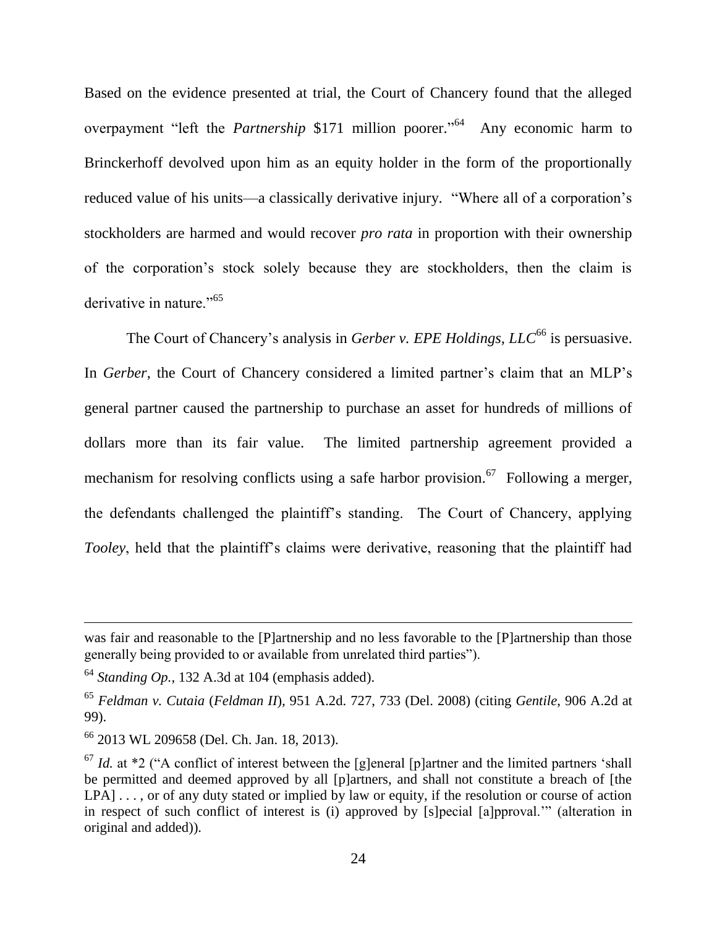Based on the evidence presented at trial, the Court of Chancery found that the alleged overpayment "left the *Partnership* \$171 million poorer."<sup>64</sup> Any economic harm to Brinckerhoff devolved upon him as an equity holder in the form of the proportionally reduced value of his units—a classically derivative injury. "Where all of a corporation's stockholders are harmed and would recover *pro rata* in proportion with their ownership of the corporation"s stock solely because they are stockholders, then the claim is derivative in nature."<sup>65</sup>

The Court of Chancery's analysis in *Gerber v. EPE Holdings, LLC*<sup>66</sup> is persuasive. In *Gerber*, the Court of Chancery considered a limited partner's claim that an MLP's general partner caused the partnership to purchase an asset for hundreds of millions of dollars more than its fair value. The limited partnership agreement provided a mechanism for resolving conflicts using a safe harbor provision.<sup>67</sup> Following a merger, the defendants challenged the plaintiff"s standing. The Court of Chancery, applying *Tooley*, held that the plaintiff's claims were derivative, reasoning that the plaintiff had

was fair and reasonable to the [P]artnership and no less favorable to the [P]artnership than those generally being provided to or available from unrelated third parties").

 $64$  *Standing Op.*, 132 A.3d at 104 (emphasis added).

<sup>65</sup> *Feldman v. Cutaia* (*Feldman II*)*,* 951 A.2d. 727, 733 (Del. 2008) (citing *Gentile*, 906 A.2d at 99).

<sup>66</sup> 2013 WL 209658 (Del. Ch. Jan. 18, 2013).

 $67$  *Id.* at  $*2$  ("A conflict of interest between the [g]eneral [p]artner and the limited partners 'shall be permitted and deemed approved by all [p]artners, and shall not constitute a breach of [the LPA] . . . , or of any duty stated or implied by law or equity, if the resolution or course of action in respect of such conflict of interest is (i) approved by [s]pecial [a]pproval."" (alteration in original and added)).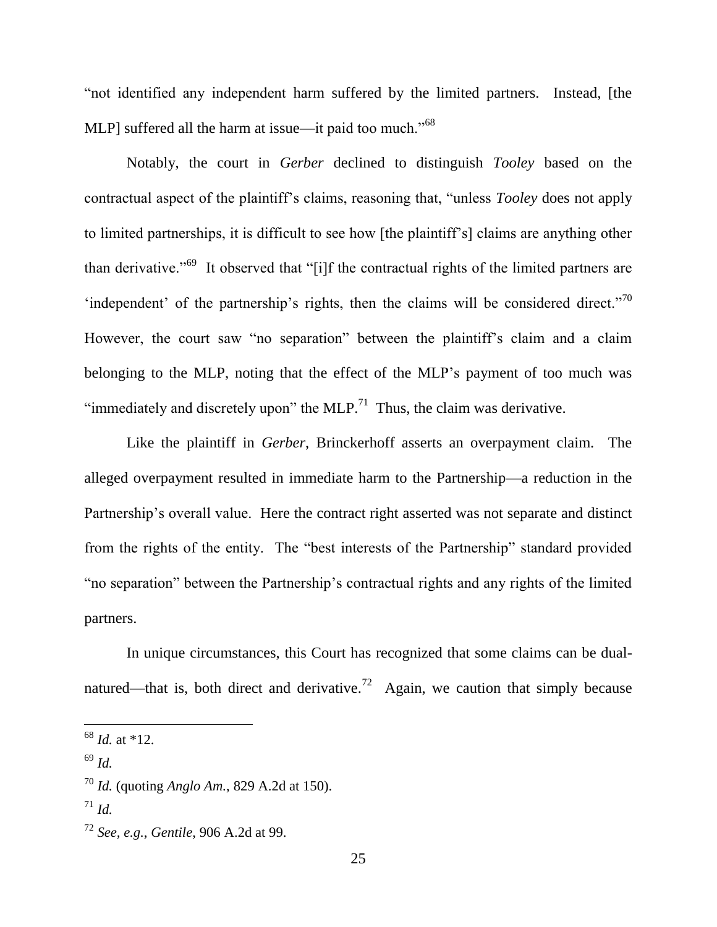"not identified any independent harm suffered by the limited partners. Instead, [the MLP] suffered all the harm at issue—it paid too much."<sup>68</sup>

Notably, the court in *Gerber* declined to distinguish *Tooley* based on the contractual aspect of the plaintiff"s claims, reasoning that, "unless *Tooley* does not apply to limited partnerships, it is difficult to see how [the plaintiff"s] claims are anything other than derivative."<sup>69</sup> It observed that "[i]f the contractual rights of the limited partners are 'independent' of the partnership's rights, then the claims will be considered direct."<sup>70</sup> However, the court saw "no separation" between the plaintiff's claim and a claim belonging to the MLP, noting that the effect of the MLP"s payment of too much was "immediately and discretely upon" the MLP.<sup>71</sup> Thus, the claim was derivative.

Like the plaintiff in *Gerber*, Brinckerhoff asserts an overpayment claim. The alleged overpayment resulted in immediate harm to the Partnership—a reduction in the Partnership's overall value. Here the contract right asserted was not separate and distinct from the rights of the entity. The "best interests of the Partnership" standard provided "no separation" between the Partnership"s contractual rights and any rights of the limited partners.

In unique circumstances, this Court has recognized that some claims can be dualnatured—that is, both direct and derivative.<sup>72</sup> Again, we caution that simply because

<sup>68</sup> *Id.* at \*12.

<sup>69</sup> *Id.* 

<sup>70</sup> *Id.* (quoting *Anglo Am.*, 829 A.2d at 150).

<sup>71</sup> *Id.*

<sup>72</sup> *See, e.g.*, *Gentile*, 906 A.2d at 99.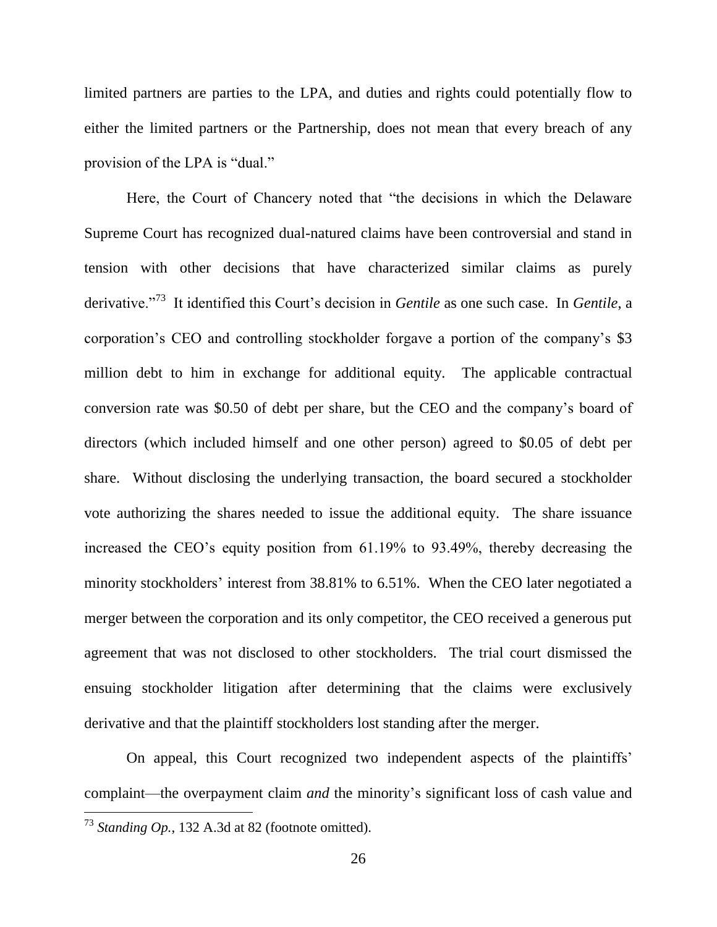limited partners are parties to the LPA, and duties and rights could potentially flow to either the limited partners or the Partnership, does not mean that every breach of any provision of the LPA is "dual."

Here, the Court of Chancery noted that "the decisions in which the Delaware Supreme Court has recognized dual-natured claims have been controversial and stand in tension with other decisions that have characterized similar claims as purely derivative."<sup>73</sup> It identified this Court's decision in *Gentile* as one such case. In *Gentile*, a corporation"s CEO and controlling stockholder forgave a portion of the company"s \$3 million debt to him in exchange for additional equity. The applicable contractual conversion rate was \$0.50 of debt per share, but the CEO and the company"s board of directors (which included himself and one other person) agreed to \$0.05 of debt per share. Without disclosing the underlying transaction, the board secured a stockholder vote authorizing the shares needed to issue the additional equity. The share issuance increased the CEO"s equity position from 61.19% to 93.49%, thereby decreasing the minority stockholders' interest from 38.81% to 6.51%. When the CEO later negotiated a merger between the corporation and its only competitor, the CEO received a generous put agreement that was not disclosed to other stockholders. The trial court dismissed the ensuing stockholder litigation after determining that the claims were exclusively derivative and that the plaintiff stockholders lost standing after the merger.

On appeal, this Court recognized two independent aspects of the plaintiffs" complaint—the overpayment claim *and* the minority's significant loss of cash value and

<sup>73</sup> *Standing Op.*, 132 A.3d at 82 (footnote omitted).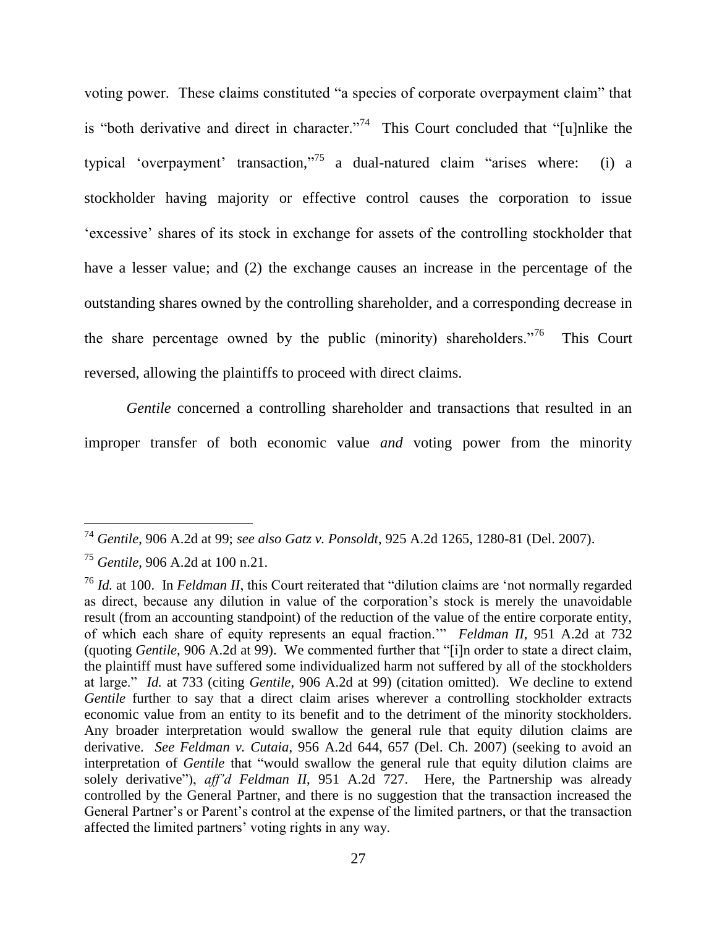voting power. These claims constituted "a species of corporate overpayment claim" that is "both derivative and direct in character."<sup>74</sup> This Court concluded that "[u]nlike the typical 'overpayment' transaction,"<sup>75</sup> a dual-natured claim "arises where: (i) a stockholder having majority or effective control causes the corporation to issue "excessive" shares of its stock in exchange for assets of the controlling stockholder that have a lesser value; and (2) the exchange causes an increase in the percentage of the outstanding shares owned by the controlling shareholder, and a corresponding decrease in the share percentage owned by the public (minority) shareholders.<sup>76</sup> This Court reversed, allowing the plaintiffs to proceed with direct claims.

*Gentile* concerned a controlling shareholder and transactions that resulted in an improper transfer of both economic value *and* voting power from the minority

<sup>74</sup> *Gentile*, 906 A.2d at 99; *see also Gatz v. Ponsoldt*, 925 A.2d 1265, 1280-81 (Del. 2007).

<sup>75</sup> *Gentile*, 906 A.2d at 100 n.21.

<sup>76</sup> *Id.* at 100. In *Feldman II*, this Court reiterated that "dilution claims are "not normally regarded as direct, because any dilution in value of the corporation"s stock is merely the unavoidable result (from an accounting standpoint) of the reduction of the value of the entire corporate entity, of which each share of equity represents an equal fraction."" *Feldman II*, 951 A.2d at 732 (quoting *Gentile*, 906 A.2d at 99). We commented further that "[i]n order to state a direct claim, the plaintiff must have suffered some individualized harm not suffered by all of the stockholders at large." *Id.* at 733 (citing *Gentile*, 906 A.2d at 99) (citation omitted). We decline to extend *Gentile* further to say that a direct claim arises wherever a controlling stockholder extracts economic value from an entity to its benefit and to the detriment of the minority stockholders. Any broader interpretation would swallow the general rule that equity dilution claims are derivative. *See Feldman v. Cutaia*, 956 A.2d 644, 657 (Del. Ch. 2007) (seeking to avoid an interpretation of *Gentile* that "would swallow the general rule that equity dilution claims are solely derivative"), *aff'd Feldman II*, 951 A.2d 727. Here, the Partnership was already controlled by the General Partner, and there is no suggestion that the transaction increased the General Partner's or Parent's control at the expense of the limited partners, or that the transaction affected the limited partners" voting rights in any way.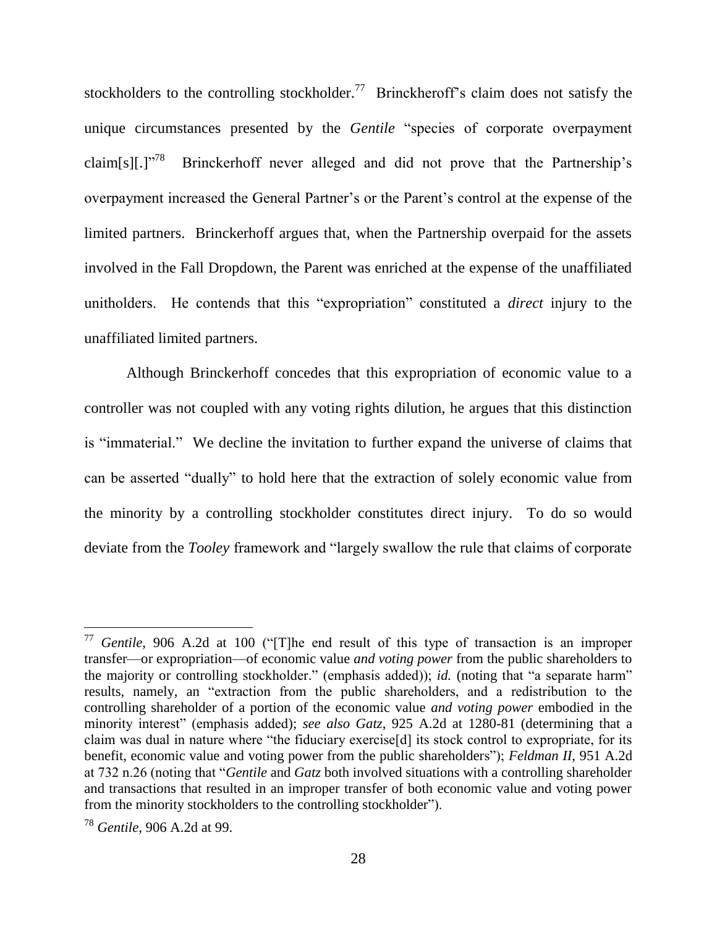stockholders to the controlling stockholder.<sup>77</sup> Brinckheroff's claim does not satisfy the unique circumstances presented by the *Gentile* "species of corporate overpayment claim[s][.]"<sup>78</sup> Brinckerhoff never alleged and did not prove that the Partnership"s overpayment increased the General Partner"s or the Parent"s control at the expense of the limited partners. Brinckerhoff argues that, when the Partnership overpaid for the assets involved in the Fall Dropdown, the Parent was enriched at the expense of the unaffiliated unitholders. He contends that this "expropriation" constituted a *direct* injury to the unaffiliated limited partners.

Although Brinckerhoff concedes that this expropriation of economic value to a controller was not coupled with any voting rights dilution, he argues that this distinction is "immaterial." We decline the invitation to further expand the universe of claims that can be asserted "dually" to hold here that the extraction of solely economic value from the minority by a controlling stockholder constitutes direct injury. To do so would deviate from the *Tooley* framework and "largely swallow the rule that claims of corporate

<sup>77</sup> *Gentile*, 906 A.2d at 100 ("[T]he end result of this type of transaction is an improper transfer—or expropriation—of economic value *and voting power* from the public shareholders to the majority or controlling stockholder." (emphasis added)); *id.* (noting that "a separate harm" results, namely, an "extraction from the public shareholders, and a redistribution to the controlling shareholder of a portion of the economic value *and voting power* embodied in the minority interest" (emphasis added); *see also Gatz*, 925 A.2d at 1280-81 (determining that a claim was dual in nature where "the fiduciary exercise[d] its stock control to expropriate, for its benefit, economic value and voting power from the public shareholders"); *Feldman II*, 951 A.2d at 732 n.26 (noting that "*Gentile* and *Gatz* both involved situations with a controlling shareholder and transactions that resulted in an improper transfer of both economic value and voting power from the minority stockholders to the controlling stockholder").

<sup>78</sup> *Gentile*, 906 A.2d at 99.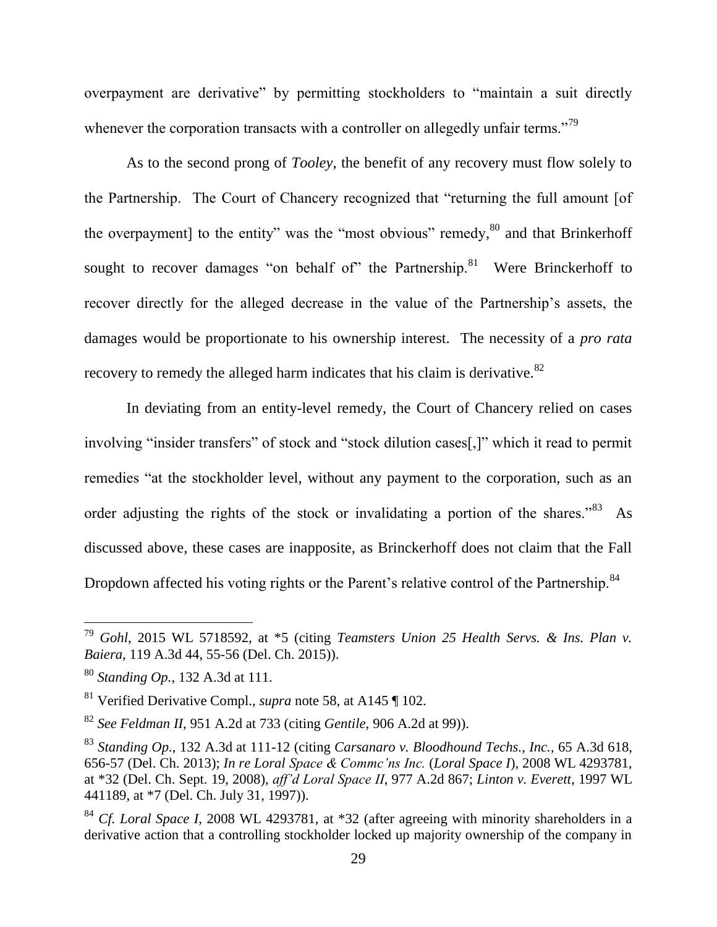overpayment are derivative" by permitting stockholders to "maintain a suit directly whenever the corporation transacts with a controller on allegedly unfair terms."<sup>79</sup>

As to the second prong of *Tooley*, the benefit of any recovery must flow solely to the Partnership. The Court of Chancery recognized that "returning the full amount [of the overpayment] to the entity" was the "most obvious" remedy,  $80$  and that Brinkerhoff sought to recover damages "on behalf of" the Partnership. $81$  Were Brinckerhoff to recover directly for the alleged decrease in the value of the Partnership"s assets, the damages would be proportionate to his ownership interest. The necessity of a *pro rata*  recovery to remedy the alleged harm indicates that his claim is derivative.<sup>82</sup>

In deviating from an entity-level remedy, the Court of Chancery relied on cases involving "insider transfers" of stock and "stock dilution cases[,]" which it read to permit remedies "at the stockholder level, without any payment to the corporation, such as an order adjusting the rights of the stock or invalidating a portion of the shares."<sup>83</sup> As discussed above, these cases are inapposite, as Brinckerhoff does not claim that the Fall Dropdown affected his voting rights or the Parent's relative control of the Partnership.<sup>84</sup>

<sup>79</sup> *Gohl*, 2015 WL 5718592, at \*5 (citing *Teamsters Union 25 Health Servs. & Ins. Plan v. Baiera*, 119 A.3d 44, 55-56 (Del. Ch. 2015)).

<sup>80</sup> *Standing Op.*, 132 A.3d at 111.

<sup>81</sup> Verified Derivative Compl., *supra* note [58,](#page-21-0) at A145 ¶ 102.

<sup>82</sup> *See Feldman II*, 951 A.2d at 733 (citing *Gentile*, 906 A.2d at 99)).

<sup>83</sup> *Standing Op.*, 132 A.3d at 111-12 (citing *Carsanaro v. Bloodhound Techs., Inc.*, 65 A.3d 618, 656-57 (Del. Ch. 2013); *In re Loral Space & Commc'ns Inc.* (*Loral Space I*), 2008 WL 4293781, at \*32 (Del. Ch. Sept. 19, 2008), *aff'd Loral Space II*, 977 A.2d 867; *Linton v. Everett*, 1997 WL 441189, at \*7 (Del. Ch. July 31, 1997)).

<sup>84</sup> *Cf. Loral Space I*, 2008 WL 4293781, at \*32 (after agreeing with minority shareholders in a derivative action that a controlling stockholder locked up majority ownership of the company in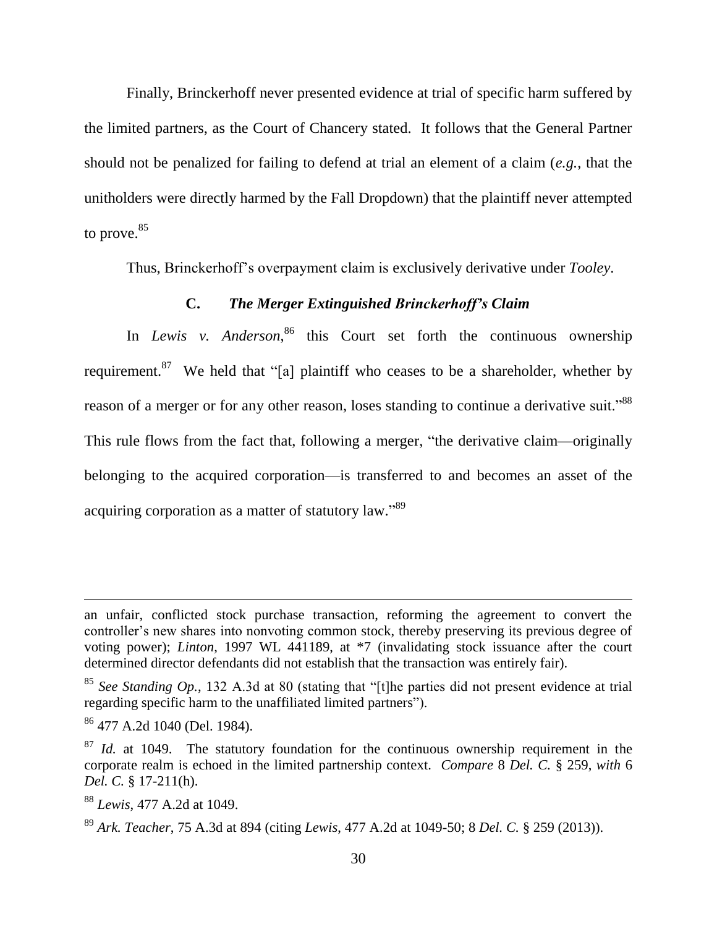Finally, Brinckerhoff never presented evidence at trial of specific harm suffered by the limited partners, as the Court of Chancery stated. It follows that the General Partner should not be penalized for failing to defend at trial an element of a claim (*e.g.*, that the unitholders were directly harmed by the Fall Dropdown) that the plaintiff never attempted to prove. 85

Thus, Brinckerhoff"s overpayment claim is exclusively derivative under *Tooley*.

# **C.** *The Merger Extinguished Brinckerhoff's Claim*

In *Lewis v. Anderson*, <sup>86</sup> this Court set forth the continuous ownership requirement.<sup>87</sup> We held that "[a] plaintiff who ceases to be a shareholder, whether by reason of a merger or for any other reason, loses standing to continue a derivative suit."<sup>88</sup> This rule flows from the fact that, following a merger, "the derivative claim—originally belonging to the acquired corporation—is transferred to and becomes an asset of the acquiring corporation as a matter of statutory law."<sup>89</sup>

an unfair, conflicted stock purchase transaction, reforming the agreement to convert the controller's new shares into nonvoting common stock, thereby preserving its previous degree of voting power); *Linton*, 1997 WL 441189, at \*7 (invalidating stock issuance after the court determined director defendants did not establish that the transaction was entirely fair).

<sup>85</sup> *See Standing Op.*, 132 A.3d at 80 (stating that "[t]he parties did not present evidence at trial regarding specific harm to the unaffiliated limited partners").

<sup>86</sup> 477 A.2d 1040 (Del. 1984).

<sup>&</sup>lt;sup>87</sup> *Id.* at 1049. The statutory foundation for the continuous ownership requirement in the corporate realm is echoed in the limited partnership context. *Compare* 8 *Del. C.* § 259, *with* 6 *Del. C.* § 17-211(h).

<sup>88</sup> *Lewis*, 477 A.2d at 1049.

<sup>89</sup> *Ark. Teacher*, 75 A.3d at 894 (citing *Lewis*, 477 A.2d at 1049-50; 8 *Del. C.* § 259 (2013)).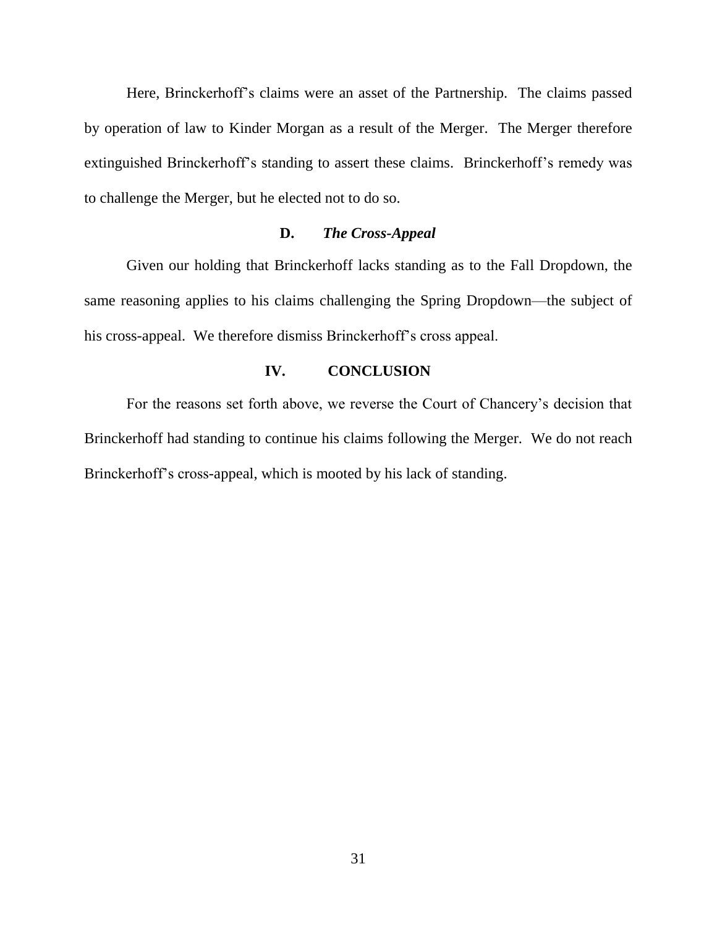Here, Brinckerhoff's claims were an asset of the Partnership. The claims passed by operation of law to Kinder Morgan as a result of the Merger. The Merger therefore extinguished Brinckerhoff"s standing to assert these claims. Brinckerhoff"s remedy was to challenge the Merger, but he elected not to do so.

### **D.** *The Cross-Appeal*

Given our holding that Brinckerhoff lacks standing as to the Fall Dropdown, the same reasoning applies to his claims challenging the Spring Dropdown—the subject of his cross-appeal. We therefore dismiss Brinckerhoff"s cross appeal.

### **IV. CONCLUSION**

For the reasons set forth above, we reverse the Court of Chancery"s decision that Brinckerhoff had standing to continue his claims following the Merger. We do not reach Brinckerhoff"s cross-appeal, which is mooted by his lack of standing.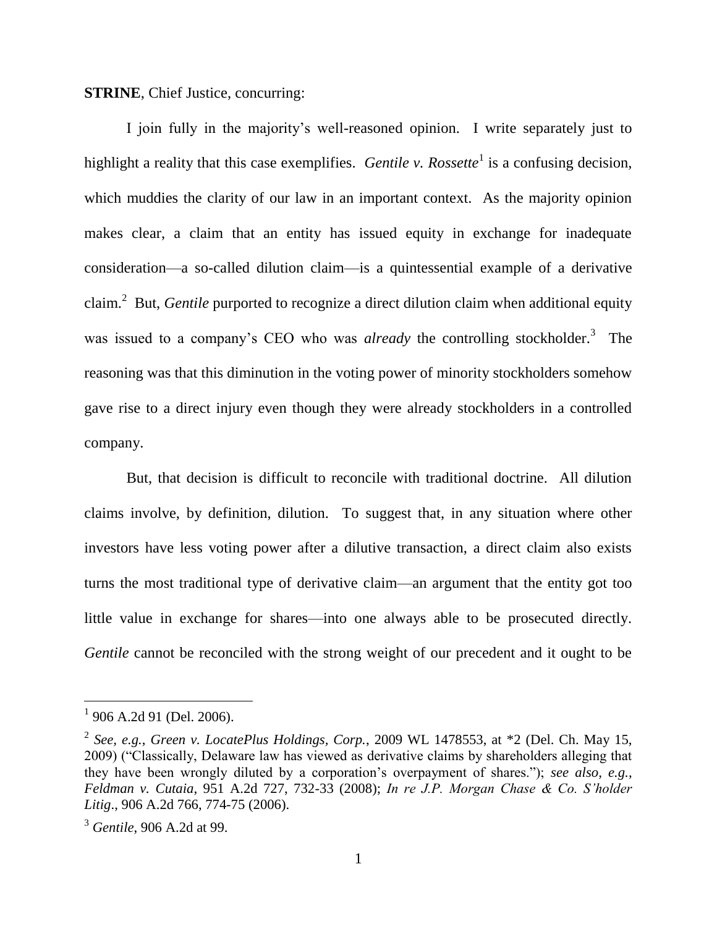**STRINE**, Chief Justice, concurring:

I join fully in the majority"s well-reasoned opinion. I write separately just to highlight a reality that this case exemplifies. *Gentile v. Rossette*<sup>1</sup> is a confusing decision, which muddies the clarity of our law in an important context. As the majority opinion makes clear, a claim that an entity has issued equity in exchange for inadequate consideration—a so-called dilution claim—is a quintessential example of a derivative claim.<sup>2</sup> But, *Gentile* purported to recognize a direct dilution claim when additional equity was issued to a company's CEO who was *already* the controlling stockholder.<sup>3</sup> The reasoning was that this diminution in the voting power of minority stockholders somehow gave rise to a direct injury even though they were already stockholders in a controlled company.

But, that decision is difficult to reconcile with traditional doctrine. All dilution claims involve, by definition, dilution. To suggest that, in any situation where other investors have less voting power after a dilutive transaction, a direct claim also exists turns the most traditional type of derivative claim—an argument that the entity got too little value in exchange for shares—into one always able to be prosecuted directly. *Gentile* cannot be reconciled with the strong weight of our precedent and it ought to be

<sup>&</sup>lt;sup>1</sup> 906 A.2d 91 (Del. 2006).

<sup>2</sup> *See, e.g.*, *Green v. LocatePlus Holdings, Corp.*, 2009 WL 1478553, at \*2 (Del. Ch. May 15, 2009) ("Classically, Delaware law has viewed as derivative claims by shareholders alleging that they have been wrongly diluted by a corporation"s overpayment of shares."); *see also, e.g.*, *Feldman v. Cutaia*, 951 A.2d 727, 732-33 (2008); *In re J.P. Morgan Chase & Co. S'holder Litig*., 906 A.2d 766, 774-75 (2006).

<sup>3</sup> *Gentile*, 906 A.2d at 99.